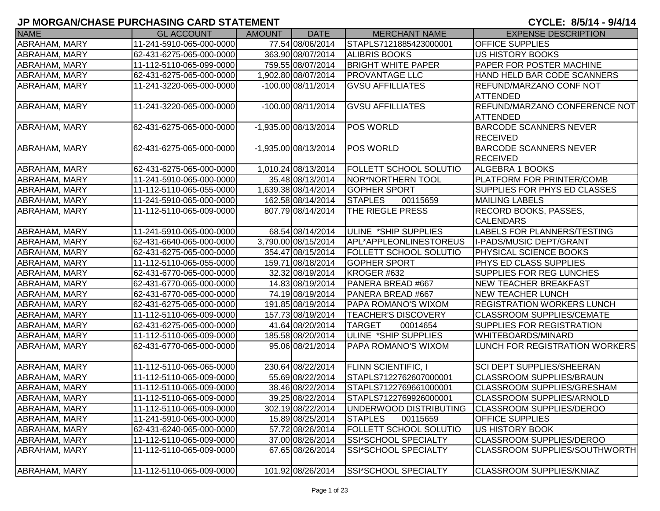| <b>NAME</b>          | <b>GL ACCOUNT</b>        | <b>AMOUNT</b> | <b>DATE</b>            | <b>MERCHANT NAME</b>          | <b>EXPENSE DESCRIPTION</b>                       |
|----------------------|--------------------------|---------------|------------------------|-------------------------------|--------------------------------------------------|
| ABRAHAM, MARY        | 11-241-5910-065-000-0000 |               | 77.54 08/06/2014       | STAPLS7121885423000001        | <b>OFFICE SUPPLIES</b>                           |
| ABRAHAM, MARY        | 62-431-6275-065-000-0000 |               | 363.90 08/07/2014      | <b>ALIBRIS BOOKS</b>          | <b>US HISTORY BOOKS</b>                          |
| <b>ABRAHAM, MARY</b> | 11-112-5110-065-099-0000 |               | 759.55 08/07/2014      | <b>BRIGHT WHITE PAPER</b>     | PAPER FOR POSTER MACHINE                         |
| ABRAHAM, MARY        | 62-431-6275-065-000-0000 |               | 1,902.80 08/07/2014    | <b>PROVANTAGE LLC</b>         | HAND HELD BAR CODE SCANNERS                      |
| ABRAHAM, MARY        | 11-241-3220-065-000-0000 |               | $-100.00$ 08/11/2014   | <b>GVSU AFFILLIATES</b>       | <b>REFUND/MARZANO CONF NOT</b>                   |
|                      |                          |               |                        |                               | <b>ATTENDED</b>                                  |
| <b>ABRAHAM, MARY</b> | 11-241-3220-065-000-0000 |               | $-100.00008/11/2014$   | <b>GVSU AFFILLIATES</b>       | REFUND/MARZANO CONFERENCE NOT                    |
|                      |                          |               |                        |                               | ATTENDED                                         |
| ABRAHAM, MARY        | 62-431-6275-065-000-0000 |               | -1,935.00 08/13/2014   | <b>POS WORLD</b>              | <b>BARCODE SCANNERS NEVER</b><br><b>RECEIVED</b> |
| <b>ABRAHAM, MARY</b> | 62-431-6275-065-000-0000 |               | $-1,935.00$ 08/13/2014 | POS WORLD                     | <b>BARCODE SCANNERS NEVER</b>                    |
|                      |                          |               |                        |                               | <b>RECEIVED</b>                                  |
| <b>ABRAHAM, MARY</b> | 62-431-6275-065-000-0000 |               | 1,010.24 08/13/2014    | <b>FOLLETT SCHOOL SOLUTIO</b> | ALGEBRA 1 BOOKS                                  |
| ABRAHAM, MARY        | 11-241-5910-065-000-0000 |               | 35.48 08/13/2014       | NOR*NORTHERN TOOL             | PLATFORM FOR PRINTER/COMB                        |
| <b>ABRAHAM, MARY</b> | 11-112-5110-065-055-0000 |               | 1,639.38 08/14/2014    | <b>GOPHER SPORT</b>           | SUPPLIES FOR PHYS ED CLASSES                     |
| <b>ABRAHAM, MARY</b> | 11-241-5910-065-000-0000 |               | 162.58 08/14/2014      | <b>STAPLES</b><br>00115659    | <b>MAILING LABELS</b>                            |
| <b>ABRAHAM, MARY</b> | 11-112-5110-065-009-0000 |               | 807.79 08/14/2014      | THE RIEGLE PRESS              | <b>RECORD BOOKS, PASSES,</b>                     |
|                      |                          |               |                        |                               | <b>CALENDARS</b>                                 |
| <b>ABRAHAM, MARY</b> | 11-241-5910-065-000-0000 |               | 68.54 08/14/2014       | ULINE *SHIP SUPPLIES          | LABELS FOR PLANNERS/TESTING                      |
| <b>ABRAHAM, MARY</b> | 62-431-6640-065-000-0000 |               | 3,790.00 08/15/2014    | APL*APPLEONLINESTOREUS        | II-PADS/MUSIC DEPT/GRANT                         |
| ABRAHAM, MARY        | 62-431-6275-065-000-0000 |               | 354.47 08/15/2014      | <b>FOLLETT SCHOOL SOLUTIO</b> | PHYSICAL SCIENCE BOOKS                           |
| ABRAHAM, MARY        | 11-112-5110-065-055-0000 |               | 159.71 08/18/2014      | <b>GOPHER SPORT</b>           | PHYS ED CLASS SUPPLIES                           |
| <b>ABRAHAM, MARY</b> | 62-431-6770-065-000-0000 |               | 32.32 08/19/2014       | KROGER #632                   | SUPPLIES FOR REG LUNCHES                         |
| <b>ABRAHAM, MARY</b> | 62-431-6770-065-000-0000 |               | 14.83 08/19/2014       | PANERA BREAD #667             | <b>NEW TEACHER BREAKFAST</b>                     |
| <b>ABRAHAM, MARY</b> | 62-431-6770-065-000-0000 |               | 74.19 08/19/2014       | PANERA BREAD #667             | <b>NEW TEACHER LUNCH</b>                         |
| ABRAHAM, MARY        | 62-431-6275-065-000-0000 |               | 191.85 08/19/2014      | <b>PAPA ROMANO'S WIXOM</b>    | <b>REGISTRATION WORKERS LUNCH</b>                |
| <b>ABRAHAM, MARY</b> | 11-112-5110-065-009-0000 |               | 157.73 08/19/2014      | <b>TEACHER'S DISCOVERY</b>    | <b>CLASSROOM SUPPLIES/CEMATE</b>                 |
| ABRAHAM, MARY        | 62-431-6275-065-000-0000 |               | 41.64 08/20/2014       | <b>TARGET</b><br>00014654     | <b>SUPPLIES FOR REGISTRATION</b>                 |
| ABRAHAM, MARY        | 11-112-5110-065-009-0000 |               | 185.58 08/20/2014      | ULINE *SHIP SUPPLIES          | WHITEBOARDS/MINARD                               |
| ABRAHAM, MARY        | 62-431-6770-065-000-0000 |               | 95.06 08/21/2014       | PAPA ROMANO'S WIXOM           | LUNCH FOR REGISTRATION WORKERS                   |
| <b>ABRAHAM, MARY</b> | 11-112-5110-065-065-0000 |               | 230.64 08/22/2014      | <b>FLINN SCIENTIFIC, I</b>    | <b>SCI DEPT SUPPLIES/SHEERAN</b>                 |
| ABRAHAM, MARY        | 11-112-5110-065-009-0000 |               | 55.69 08/22/2014       | STAPLS7122762607000001        | <b>CLASSROOM SUPPLIES/BRAUN</b>                  |
| ABRAHAM, MARY        | 11-112-5110-065-009-0000 |               | 38.46 08/22/2014       | STAPLS7122769661000001        | <b>CLASSROOM SUPPLIES/GRESHAM</b>                |
| <b>ABRAHAM, MARY</b> | 11-112-5110-065-009-0000 |               | 39.25 08/22/2014       | STAPLS7122769926000001        | <b>CLASSROOM SUPPLIES/ARNOLD</b>                 |
| <b>ABRAHAM, MARY</b> | 11-112-5110-065-009-0000 |               | 302.19 08/22/2014      | UNDERWOOD DISTRIBUTING        | <b>CLASSROOM SUPPLIES/DEROO</b>                  |
| <b>ABRAHAM, MARY</b> | 11-241-5910-065-000-0000 |               | 15.89 08/25/2014       | <b>STAPLES</b><br>00115659    | <b>OFFICE SUPPLIES</b>                           |
| ABRAHAM, MARY        | 62-431-6240-065-000-0000 |               | 57.72 08/26/2014       | <b>FOLLETT SCHOOL SOLUTIO</b> | US HISTORY BOOK                                  |
| <b>ABRAHAM, MARY</b> | 11-112-5110-065-009-0000 |               | 37.00 08/26/2014       | SSI*SCHOOL SPECIALTY          | <b>CLASSROOM SUPPLIES/DEROO</b>                  |
| <b>ABRAHAM, MARY</b> | 11-112-5110-065-009-0000 |               | 67.65 08/26/2014       | <b>SSI*SCHOOL SPECIALTY</b>   | CLASSROOM SUPPLIES/SOUTHWORTH                    |
| ABRAHAM, MARY        | 11-112-5110-065-009-0000 |               | 101.92 08/26/2014      | <b>SSI*SCHOOL SPECIALTY</b>   | <b>CLASSROOM SUPPLIES/KNIAZ</b>                  |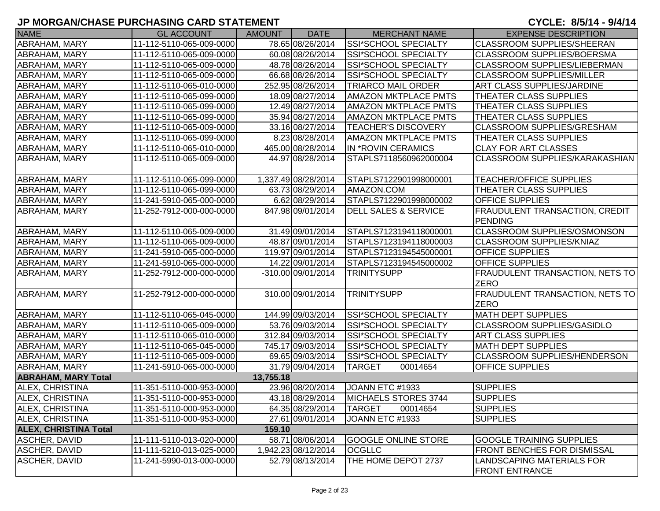| <b>NAME</b>                  | <b>GL ACCOUNT</b>        | <b>AMOUNT</b> | <b>DATE</b>         | <b>MERCHANT NAME</b>            | <b>EXPENSE DESCRIPTION</b>                            |
|------------------------------|--------------------------|---------------|---------------------|---------------------------------|-------------------------------------------------------|
| ABRAHAM, MARY                | 11-112-5110-065-009-0000 |               | 78.65 08/26/2014    | SSI*SCHOOL SPECIALTY            | <b>CLASSROOM SUPPLIES/SHEERAN</b>                     |
| ABRAHAM, MARY                | 11-112-5110-065-009-0000 |               | 60.08 08/26/2014    | SSI*SCHOOL SPECIALTY            | <b>CLASSROOM SUPPLIES/BOERSMA</b>                     |
| ABRAHAM, MARY                | 11-112-5110-065-009-0000 |               | 48.78 08/26/2014    | <b>SSI*SCHOOL SPECIALTY</b>     | <b>CLASSROOM SUPPLIES/LIEBERMAN</b>                   |
| <b>ABRAHAM, MARY</b>         | 11-112-5110-065-009-0000 |               | 66.68 08/26/2014    | SSI*SCHOOL SPECIALTY            | <b>CLASSROOM SUPPLIES/MILLER</b>                      |
| ABRAHAM, MARY                | 11-112-5110-065-010-0000 |               | 252.95 08/26/2014   | <b>TRIARCO MAIL ORDER</b>       | <b>ART CLASS SUPPLIES/JARDINE</b>                     |
| ABRAHAM, MARY                | 11-112-5110-065-099-0000 |               | 18.09 08/27/2014    | <b>AMAZON MKTPLACE PMTS</b>     | <b>THEATER CLASS SUPPLIES</b>                         |
| ABRAHAM, MARY                | 11-112-5110-065-099-0000 |               | 12.49 08/27/2014    | <b>AMAZON MKTPLACE PMTS</b>     | <b>THEATER CLASS SUPPLIES</b>                         |
| <b>ABRAHAM, MARY</b>         | 11-112-5110-065-099-0000 |               | 35.94 08/27/2014    | <b>AMAZON MKTPLACE PMTS</b>     | <b>THEATER CLASS SUPPLIES</b>                         |
| ABRAHAM, MARY                | 11-112-5110-065-009-0000 |               | 33.16 08/27/2014    | <b>TEACHER'S DISCOVERY</b>      | <b>CLASSROOM SUPPLIES/GRESHAM</b>                     |
| ABRAHAM, MARY                | 11-112-5110-065-099-0000 |               | 8.23 08/28/2014     | <b>AMAZON MKTPLACE PMTS</b>     | <b>THEATER CLASS SUPPLIES</b>                         |
| ABRAHAM, MARY                | 11-112-5110-065-010-0000 |               | 465.00 08/28/2014   | IN *ROVIN CERAMICS              | <b>CLAY FOR ART CLASSES</b>                           |
| ABRAHAM, MARY                | 11-112-5110-065-009-0000 |               | 44.97 08/28/2014    | STAPLS7118560962000004          | CLASSROOM SUPPLIES/KARAKASHIAN                        |
| ABRAHAM, MARY                | 11-112-5110-065-099-0000 |               | 1,337.49 08/28/2014 | STAPLS7122901998000001          | <b>TEACHER/OFFICE SUPPLIES</b>                        |
| ABRAHAM, MARY                | 11-112-5110-065-099-0000 |               | 63.73 08/29/2014    | AMAZON.COM                      | THEATER CLASS SUPPLIES                                |
| <b>ABRAHAM, MARY</b>         | 11-241-5910-065-000-0000 |               | 6.62 08/29/2014     | STAPLS7122901998000002          | <b>OFFICE SUPPLIES</b>                                |
| <b>ABRAHAM, MARY</b>         | 11-252-7912-000-000-0000 |               | 847.98 09/01/2014   | <b>DELL SALES &amp; SERVICE</b> | <b>FRAUDULENT TRANSACTION, CREDIT</b>                 |
|                              |                          |               |                     |                                 | PENDING                                               |
| ABRAHAM, MARY                | 11-112-5110-065-009-0000 |               | 31.49 09/01/2014    | STAPLS7123194118000001          | <b>CLASSROOM SUPPLIES/OSMONSON</b>                    |
| ABRAHAM, MARY                | 11-112-5110-065-009-0000 |               | 48.87 09/01/2014    | STAPLS7123194118000003          | <b>CLASSROOM SUPPLIES/KNIAZ</b>                       |
| ABRAHAM, MARY                | 11-241-5910-065-000-0000 |               | 119.97 09/01/2014   | STAPLS7123194545000001          | <b>OFFICE SUPPLIES</b>                                |
| ABRAHAM, MARY                | 11-241-5910-065-000-0000 |               | 14.22 09/01/2014    | STAPLS7123194545000002          | <b>OFFICE SUPPLIES</b>                                |
| ABRAHAM, MARY                | 11-252-7912-000-000-0000 |               | -310.00 09/01/2014  | <b>TRINITYSUPP</b>              | <b>FRAUDULENT TRANSACTION, NETS TO</b><br><b>ZERO</b> |
| <b>ABRAHAM, MARY</b>         | 11-252-7912-000-000-0000 |               | 310.00 09/01/2014   | <b>TRINITYSUPP</b>              | <b>FRAUDULENT TRANSACTION, NETS TO</b><br><b>ZERO</b> |
| ABRAHAM, MARY                | 11-112-5110-065-045-0000 |               | 144.99 09/03/2014   | SSI*SCHOOL SPECIALTY            | <b>MATH DEPT SUPPLIES</b>                             |
| ABRAHAM, MARY                | 11-112-5110-065-009-0000 |               | 53.76 09/03/2014    | <b>SSI*SCHOOL SPECIALTY</b>     | <b>CLASSROOM SUPPLIES/GASIDLO</b>                     |
| <b>ABRAHAM, MARY</b>         | 11-112-5110-065-010-0000 |               | 312.84 09/03/2014   | SSI*SCHOOL SPECIALTY            | <b>ART CLASS SUPPLIES</b>                             |
| <b>ABRAHAM, MARY</b>         | 11-112-5110-065-045-0000 |               | 745.17 09/03/2014   | SSI*SCHOOL SPECIALTY            | <b>MATH DEPT SUPPLIES</b>                             |
| ABRAHAM, MARY                | 11-112-5110-065-009-0000 |               | 69.65 09/03/2014    | SSI*SCHOOL SPECIALTY            | <b>CLASSROOM SUPPLIES/HENDERSON</b>                   |
| ABRAHAM, MARY                | 11-241-5910-065-000-0000 |               | 31.79 09/04/2014    | <b>TARGET</b><br>00014654       | <b>OFFICE SUPPLIES</b>                                |
| <b>ABRAHAM, MARY Total</b>   |                          | 13,755.18     |                     |                                 |                                                       |
| ALEX, CHRISTINA              | 11-351-5110-000-953-0000 |               | 23.96 08/20/2014    | JOANN ETC #1933                 | <b>SUPPLIES</b>                                       |
| <b>ALEX, CHRISTINA</b>       | 11-351-5110-000-953-0000 |               | 43.18 08/29/2014    | <b>MICHAELS STORES 3744</b>     | <b>SUPPLIES</b>                                       |
| <b>ALEX, CHRISTINA</b>       | 11-351-5110-000-953-0000 |               | 64.35 08/29/2014    | <b>TARGET</b><br>00014654       | <b>SUPPLIES</b>                                       |
| ALEX, CHRISTINA              | 11-351-5110-000-953-0000 |               | 27.61 09/01/2014    | JOANN ETC #1933                 | <b>SUPPLIES</b>                                       |
| <b>ALEX, CHRISTINA Total</b> |                          | 159.10        |                     |                                 |                                                       |
| <b>ASCHER, DAVID</b>         | 11-111-5110-013-020-0000 |               | 58.71 08/06/2014    | <b>GOOGLE ONLINE STORE</b>      | <b>GOOGLE TRAINING SUPPLIES</b>                       |
| ASCHER, DAVID                | 11-111-5210-013-025-0000 |               | 1,942.23 08/12/2014 | <b>OCGLLC</b>                   | FRONT BENCHES FOR DISMISSAL                           |
| <b>ASCHER, DAVID</b>         | 11-241-5990-013-000-0000 |               | 52.79 08/13/2014    | THE HOME DEPOT 2737             | LANDSCAPING MATERIALS FOR<br><b>FRONT ENTRANCE</b>    |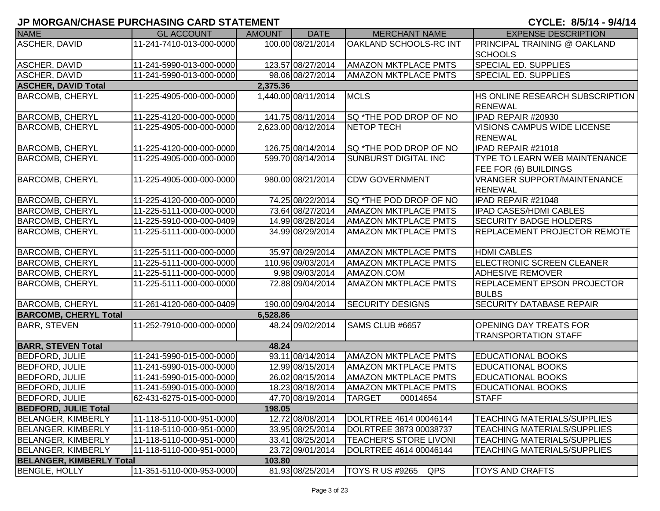| <b>NAME</b>                     | <b>GL ACCOUNT</b>        | <b>AMOUNT</b> | <b>DATE</b>         | <b>MERCHANT NAME</b>          | <b>EXPENSE DESCRIPTION</b>                                           |
|---------------------------------|--------------------------|---------------|---------------------|-------------------------------|----------------------------------------------------------------------|
| <b>ASCHER, DAVID</b>            | 11-241-7410-013-000-0000 |               | 100.00 08/21/2014   | OAKLAND SCHOOLS-RC INT        | PRINCIPAL TRAINING @ OAKLAND                                         |
|                                 |                          |               |                     |                               | <b>SCHOOLS</b>                                                       |
| ASCHER, DAVID                   | 11-241-5990-013-000-0000 |               | 123.57 08/27/2014   | <b>AMAZON MKTPLACE PMTS</b>   | <b>SPECIAL ED. SUPPLIES</b>                                          |
| <b>ASCHER, DAVID</b>            | 11-241-5990-013-000-0000 |               | 98.06 08/27/2014    | <b>AMAZON MKTPLACE PMTS</b>   | <b>SPECIAL ED. SUPPLIES</b>                                          |
| <b>ASCHER, DAVID Total</b>      |                          | 2,375.36      |                     |                               |                                                                      |
| <b>BARCOMB, CHERYL</b>          | 11-225-4905-000-000-0000 |               | 1,440.00 08/11/2014 | <b>MCLS</b>                   | HS ONLINE RESEARCH SUBSCRIPTION                                      |
|                                 |                          |               |                     |                               | <b>RENEWAL</b>                                                       |
| <b>BARCOMB, CHERYL</b>          | 11-225-4120-000-000-0000 |               | 141.75 08/11/2014   | <b>SQ *THE POD DROP OF NO</b> | IPAD REPAIR #20930                                                   |
| <b>BARCOMB, CHERYL</b>          | 11-225-4905-000-000-0000 |               | 2,623.00 08/12/2014 | <b>NETOP TECH</b>             | VISIONS CAMPUS WIDE LICENSE<br><b>RENEWAL</b>                        |
| <b>BARCOMB, CHERYL</b>          | 11-225-4120-000-000-0000 |               | 126.75 08/14/2014   | SQ *THE POD DROP OF NO        | IPAD REPAIR #21018                                                   |
| <b>BARCOMB, CHERYL</b>          | 11-225-4905-000-000-0000 |               | 599.70 08/14/2014   | SUNBURST DIGITAL INC          | <b>TYPE TO LEARN WEB MAINTENANCE</b><br><b>FEE FOR (6) BUILDINGS</b> |
| <b>BARCOMB, CHERYL</b>          | 11-225-4905-000-000-0000 |               | 980.00 08/21/2014   | <b>CDW GOVERNMENT</b>         | <b>VRANGER SUPPORT/MAINTENANCE</b><br><b>RENEWAL</b>                 |
| <b>BARCOMB, CHERYL</b>          | 11-225-4120-000-000-0000 |               | 74.25 08/22/2014    | SQ *THE POD DROP OF NO        | IPAD REPAIR #21048                                                   |
| <b>BARCOMB, CHERYL</b>          | 11-225-5111-000-000-0000 |               | 73.64 08/27/2014    | <b>AMAZON MKTPLACE PMTS</b>   | <b>IPAD CASES/HDMI CABLES</b>                                        |
| <b>BARCOMB, CHERYL</b>          | 11-225-5910-000-000-0409 |               | 14.99 08/28/2014    | <b>AMAZON MKTPLACE PMTS</b>   | <b>SECURITY BADGE HOLDERS</b>                                        |
| <b>BARCOMB, CHERYL</b>          | 11-225-5111-000-000-0000 |               | 34.99 08/29/2014    | <b>AMAZON MKTPLACE PMTS</b>   | <b>REPLACEMENT PROJECTOR REMOTE</b>                                  |
| <b>BARCOMB, CHERYL</b>          | 11-225-5111-000-000-0000 |               | 35.97 08/29/2014    | <b>AMAZON MKTPLACE PMTS</b>   | <b>HDMI CABLES</b>                                                   |
| <b>BARCOMB, CHERYL</b>          | 11-225-5111-000-000-0000 |               | 110.96 09/03/2014   | <b>AMAZON MKTPLACE PMTS</b>   | ELECTRONIC SCREEN CLEANER                                            |
| <b>BARCOMB, CHERYL</b>          | 11-225-5111-000-000-0000 |               | 9.98 09/03/2014     | AMAZON.COM                    | <b>ADHESIVE REMOVER</b>                                              |
| <b>BARCOMB, CHERYL</b>          | 11-225-5111-000-000-0000 |               | 72.88 09/04/2014    | <b>AMAZON MKTPLACE PMTS</b>   | <b>REPLACEMENT EPSON PROJECTOR</b><br><b>BULBS</b>                   |
| <b>BARCOMB, CHERYL</b>          | 11-261-4120-060-000-0409 |               | 190.00 09/04/2014   | <b>SECURITY DESIGNS</b>       | <b>SECURITY DATABASE REPAIR</b>                                      |
| <b>BARCOMB, CHERYL Total</b>    |                          | 6,528.86      |                     |                               |                                                                      |
| <b>BARR, STEVEN</b>             | 11-252-7910-000-000-0000 |               | 48.24 09/02/2014    | SAMS CLUB #6657               | OPENING DAY TREATS FOR<br><b>TRANSPORTATION STAFF</b>                |
| <b>BARR, STEVEN Total</b>       |                          | 48.24         |                     |                               |                                                                      |
| <b>BEDFORD, JULIE</b>           | 11-241-5990-015-000-0000 |               | 93.11 08/14/2014    | <b>AMAZON MKTPLACE PMTS</b>   | <b>EDUCATIONAL BOOKS</b>                                             |
| <b>BEDFORD, JULIE</b>           | 11-241-5990-015-000-0000 |               | 12.99 08/15/2014    | <b>AMAZON MKTPLACE PMTS</b>   | <b>EDUCATIONAL BOOKS</b>                                             |
| <b>BEDFORD, JULIE</b>           | 11-241-5990-015-000-0000 |               | 26.02 08/15/2014    | <b>AMAZON MKTPLACE PMTS</b>   | <b>EDUCATIONAL BOOKS</b>                                             |
| <b>BEDFORD, JULIE</b>           | 11-241-5990-015-000-0000 |               | 18.23 08/18/2014    | <b>AMAZON MKTPLACE PMTS</b>   | <b>EDUCATIONAL BOOKS</b>                                             |
| <b>BEDFORD, JULIE</b>           | 62-431-6275-015-000-0000 |               | 47.70 08/19/2014    | <b>TARGET</b><br>00014654     | <b>STAFF</b>                                                         |
| <b>BEDFORD, JULIE Total</b>     |                          | 198.05        |                     |                               |                                                                      |
| <b>BELANGER, KIMBERLY</b>       | 11-118-5110-000-951-0000 |               | 12.72 08/08/2014    | DOLRTREE 4614 00046144        | <b>TEACHING MATERIALS/SUPPLIES</b>                                   |
| <b>BELANGER, KIMBERLY</b>       | 11-118-5110-000-951-0000 |               | 33.95 08/25/2014    | DOLRTREE 3873 00038737        | <b>TEACHING MATERIALS/SUPPLIES</b>                                   |
| <b>BELANGER, KIMBERLY</b>       | 11-118-5110-000-951-0000 |               | 33.41 08/25/2014    | <b>TEACHER'S STORE LIVONI</b> | <b>TEACHING MATERIALS/SUPPLIES</b>                                   |
| <b>BELANGER, KIMBERLY</b>       | 11-118-5110-000-951-0000 |               | 23.72 09/01/2014    | DOLRTREE 4614 00046144        | <b>TEACHING MATERIALS/SUPPLIES</b>                                   |
| <b>BELANGER, KIMBERLY Total</b> |                          | 103.80        |                     |                               |                                                                      |
| <b>BENGLE, HOLLY</b>            | 11-351-5110-000-953-0000 |               | 81.93 08/25/2014    | <b>TOYS R US #9265</b><br>QPS | <b>TOYS AND CRAFTS</b>                                               |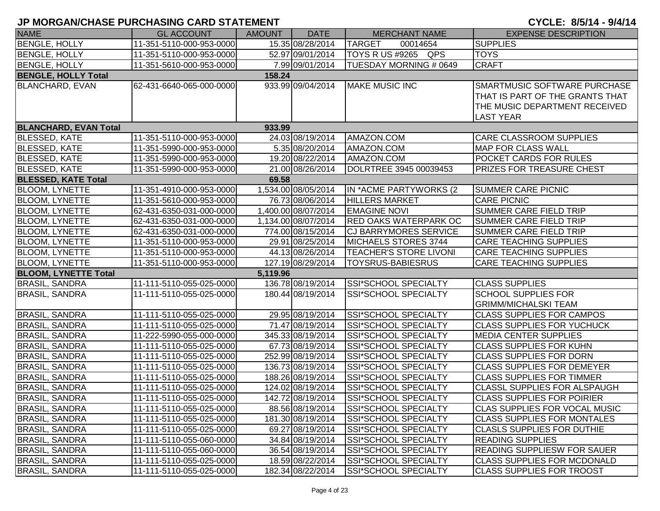| <b>NAME</b>                  | <b>GL ACCOUNT</b>        | <b>AMOUNT</b> | <b>DATE</b>         | <b>MERCHANT NAME</b>          | <b>EXPENSE DESCRIPTION</b>                                                                                           |
|------------------------------|--------------------------|---------------|---------------------|-------------------------------|----------------------------------------------------------------------------------------------------------------------|
| <b>BENGLE, HOLLY</b>         | 11-351-5110-000-953-0000 |               | 15.35 08/28/2014    | <b>TARGET</b><br>00014654     | <b>SUPPLIES</b>                                                                                                      |
| <b>BENGLE, HOLLY</b>         | 11-351-5110-000-953-0000 |               | 52.97 09/01/2014    | TOYS R US #9265 QPS           | <b>TOYS</b>                                                                                                          |
| <b>BENGLE, HOLLY</b>         | 11-351-5610-000-953-0000 |               | 7.99 09/01/2014     | TUESDAY MORNING # 0649        | <b>CRAFT</b>                                                                                                         |
| <b>BENGLE, HOLLY Total</b>   |                          | 158.24        |                     |                               |                                                                                                                      |
| <b>BLANCHARD, EVAN</b>       | 62-431-6640-065-000-0000 |               | 933.99 09/04/2014   | <b>MAKE MUSIC INC</b>         | SMARTMUSIC SOFTWARE PURCHASE<br>THAT IS PART OF THE GRANTS THAT<br>THE MUSIC DEPARTMENT RECEIVED<br><b>LAST YEAR</b> |
| <b>BLANCHARD, EVAN Total</b> |                          | 933.99        |                     |                               |                                                                                                                      |
| <b>BLESSED, KATE</b>         | 11-351-5110-000-953-0000 |               | 24.03 08/19/2014    | AMAZON.COM                    | <b>CARE CLASSROOM SUPPLIES</b>                                                                                       |
| <b>BLESSED, KATE</b>         | 11-351-5990-000-953-0000 |               | 5.35 08/20/2014     | AMAZON.COM                    | <b>MAP FOR CLASS WALL</b>                                                                                            |
| <b>BLESSED, KATE</b>         | 11-351-5990-000-953-0000 |               | 19.20 08/22/2014    | AMAZON.COM                    | POCKET CARDS FOR RULES                                                                                               |
| <b>BLESSED, KATE</b>         | 11-351-5990-000-953-0000 |               | 21.00 08/26/2014    | DOLRTREE 3945 00039453        | <b>PRIZES FOR TREASURE CHEST</b>                                                                                     |
| <b>BLESSED, KATE Total</b>   |                          | 69.58         |                     |                               |                                                                                                                      |
| <b>BLOOM, LYNETTE</b>        | 11-351-4910-000-953-0000 |               | 1,534.00 08/05/2014 | IN *ACME PARTYWORKS (2        | <b>SUMMER CARE PICNIC</b>                                                                                            |
| <b>BLOOM, LYNETTE</b>        | 11-351-5610-000-953-0000 |               | 76.73 08/06/2014    | <b>HILLERS MARKET</b>         | CARE PICNIC                                                                                                          |
| <b>BLOOM, LYNETTE</b>        | 62-431-6350-031-000-0000 |               | 1,400.00 08/07/2014 | <b>EMAGINE NOVI</b>           | <b>SUMMER CARE FIELD TRIP</b>                                                                                        |
| <b>BLOOM, LYNETTE</b>        | 62-431-6350-031-000-0000 |               | 1,134.00 08/07/2014 | <b>RED OAKS WATERPARK OC</b>  | <b>SUMMER CARE FIELD TRIP</b>                                                                                        |
| <b>BLOOM, LYNETTE</b>        | 62-431-6350-031-000-0000 |               | 774.00 08/15/2014   | <b>CJ BARRYMORES SERVICE</b>  | <b>SUMMER CARE FIELD TRIP</b>                                                                                        |
| <b>BLOOM, LYNETTE</b>        | 11-351-5110-000-953-0000 |               | 29.91 08/25/2014    | MICHAELS STORES 3744          | <b>CARE TEACHING SUPPLIES</b>                                                                                        |
| <b>BLOOM, LYNETTE</b>        | 11-351-5110-000-953-0000 |               | 44.13 08/26/2014    | <b>TEACHER'S STORE LIVONI</b> | <b>CARE TEACHING SUPPLIES</b>                                                                                        |
| <b>BLOOM, LYNETTE</b>        | 11-351-5110-000-953-0000 |               | 127.19 08/29/2014   | <b>TOYSRUS-BABIESRUS</b>      | <b>CARE TEACHING SUPPLIES</b>                                                                                        |
| <b>BLOOM, LYNETTE Total</b>  |                          | 5,119.96      |                     |                               |                                                                                                                      |
| <b>BRASIL, SANDRA</b>        | 11-111-5110-055-025-0000 |               | 136.78 08/19/2014   | SSI*SCHOOL SPECIALTY          | <b>CLASS SUPPLIES</b>                                                                                                |
| <b>BRASIL, SANDRA</b>        | 11-111-5110-055-025-0000 |               | 180.44 08/19/2014   | SSI*SCHOOL SPECIALTY          | <b>SCHOOL SUPPLIES FOR</b><br><b>GRIMM/MICHALSKI TEAM</b>                                                            |
| <b>BRASIL, SANDRA</b>        | 11-111-5110-055-025-0000 |               | 29.95 08/19/2014    | SSI*SCHOOL SPECIALTY          | <b>CLASS SUPPLIES FOR CAMPOS</b>                                                                                     |
| <b>BRASIL, SANDRA</b>        | 11-111-5110-055-025-0000 |               | 71.47 08/19/2014    | <b>SSI*SCHOOL SPECIALTY</b>   | <b>CLASS SUPPLIES FOR YUCHUCK</b>                                                                                    |
| <b>BRASIL, SANDRA</b>        | 11-222-5990-055-000-0000 |               | 345.33 08/19/2014   | SSI*SCHOOL SPECIALTY          | <b>MEDIA CENTER SUPPLIES</b>                                                                                         |
| <b>BRASIL, SANDRA</b>        | 11-111-5110-055-025-0000 |               | 67.73 08/19/2014    | SSI*SCHOOL SPECIALTY          | <b>CLASS SUPPLIES FOR KUHN</b>                                                                                       |
| <b>BRASIL, SANDRA</b>        | 11-111-5110-055-025-0000 |               | 252.99 08/19/2014   | SSI*SCHOOL SPECIALTY          | <b>CLASS SUPPLIES FOR DORN</b>                                                                                       |
| <b>BRASIL, SANDRA</b>        | 11-111-5110-055-025-0000 |               | 136.73 08/19/2014   | SSI*SCHOOL SPECIALTY          | <b>CLASS SUPPLIES FOR DEMEYER</b>                                                                                    |
| <b>BRASIL, SANDRA</b>        | 11-111-5110-055-025-0000 |               | 188.26 08/19/2014   | SSI*SCHOOL SPECIALTY          | <b>CLASS SUPPLIES FOR TIMMER</b>                                                                                     |
| <b>BRASIL, SANDRA</b>        | 11-111-5110-055-025-0000 |               | 124.02 08/19/2014   | SSI*SCHOOL SPECIALTY          | <b>CLASSL SUPPLIES FOR ALSPAUGH</b>                                                                                  |
| <b>BRASIL, SANDRA</b>        | 11-111-5110-055-025-0000 |               | 142.72 08/19/2014   | ISSI*SCHOOL SPECIALTY         | <b>CLASS SUPPLIES FOR POIRIER</b>                                                                                    |
| <b>BRASIL, SANDRA</b>        | 11-111-5110-055-025-0000 |               | 88.56 08/19/2014    | <b>SSI*SCHOOL SPECIALTY</b>   | <b>CLAS SUPPLIES FOR VOCAL MUSIC</b>                                                                                 |
| <b>BRASIL, SANDRA</b>        | 11-111-5110-055-025-0000 |               | 181.30 08/19/2014   | <b>SSI*SCHOOL SPECIALTY</b>   | <b>CLASS SUPPLIES FOR MONTALES</b>                                                                                   |
| <b>BRASIL, SANDRA</b>        | 11-111-5110-055-025-0000 |               | 69.27 08/19/2014    | SSI*SCHOOL SPECIALTY          | <b>CLASLS SUPPLIES FOR DUTHIE</b>                                                                                    |
| <b>BRASIL, SANDRA</b>        | 11-111-5110-055-060-0000 |               | 34.84 08/19/2014    | <b>SSI*SCHOOL SPECIALTY</b>   | <b>READING SUPPLIES</b>                                                                                              |
| <b>BRASIL, SANDRA</b>        | 11-111-5110-055-060-0000 |               | 36.54 08/19/2014    | <b>SSI*SCHOOL SPECIALTY</b>   | <b>READING SUPPLIESW FOR SAUER</b>                                                                                   |
| <b>BRASIL, SANDRA</b>        | 11-111-5110-055-025-0000 |               | 18.59 08/22/2014    | <b>SSI*SCHOOL SPECIALTY</b>   | <b>CLASS SUPPLIES FOR MCDONALD</b>                                                                                   |
| <b>BRASIL, SANDRA</b>        | 11-111-5110-055-025-0000 |               | 182.34 08/22/2014   | <b>SSI*SCHOOL SPECIALTY</b>   | <b>CLASS SUPPLIES FOR TROOST</b>                                                                                     |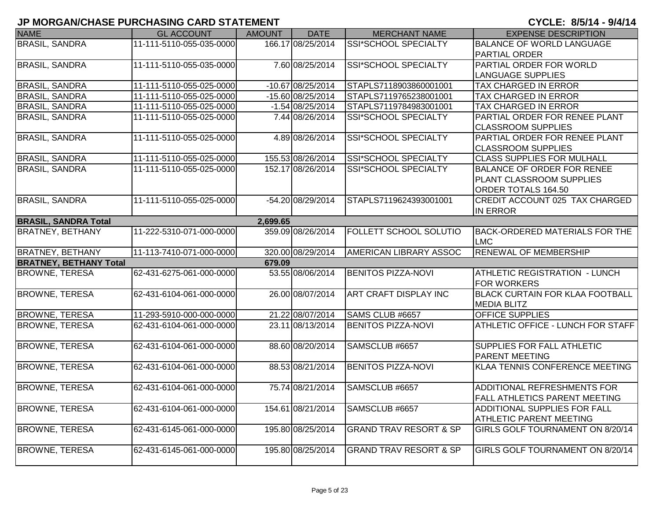| <b>NAME</b>                   | <b>GL ACCOUNT</b>        | <b>AMOUNT</b> | <b>DATE</b>        | <b>MERCHANT NAME</b>              | <b>EXPENSE DESCRIPTION</b>                                   |
|-------------------------------|--------------------------|---------------|--------------------|-----------------------------------|--------------------------------------------------------------|
| <b>BRASIL, SANDRA</b>         | 11-111-5110-055-035-0000 |               | 166.17 08/25/2014  | <b>SSI*SCHOOL SPECIALTY</b>       | BALANCE OF WORLD LANGUAGE                                    |
|                               |                          |               |                    |                                   | <b>PARTIAL ORDER</b>                                         |
| <b>BRASIL, SANDRA</b>         | 11-111-5110-055-035-0000 |               | 7.60 08/25/2014    | SSI*SCHOOL SPECIALTY              | <b>PARTIAL ORDER FOR WORLD</b>                               |
|                               |                          |               |                    |                                   | LANGUAGE SUPPLIES                                            |
| <b>BRASIL, SANDRA</b>         | 11-111-5110-055-025-0000 |               | -10.67 08/25/2014  | STAPLS7118903860001001            | <b>TAX CHARGED IN ERROR</b>                                  |
| <b>BRASIL, SANDRA</b>         | 11-111-5110-055-025-0000 |               | -15.60 08/25/2014  | STAPLS7119765238001001            | <b>TAX CHARGED IN ERROR</b>                                  |
| <b>BRASIL, SANDRA</b>         | 11-111-5110-055-025-0000 |               | $-1.54 08/25/2014$ | STAPLS7119784983001001            | <b>TAX CHARGED IN ERROR</b>                                  |
| <b>BRASIL, SANDRA</b>         | 11-111-5110-055-025-0000 |               | 7.44 08/26/2014    | <b>SSI*SCHOOL SPECIALTY</b>       | PARTIAL ORDER FOR RENEE PLANT<br><b>CLASSROOM SUPPLIES</b>   |
| <b>BRASIL, SANDRA</b>         | 11-111-5110-055-025-0000 |               | 4.89 08/26/2014    | SSI*SCHOOL SPECIALTY              | PARTIAL ORDER FOR RENEE PLANT                                |
|                               |                          |               |                    |                                   | <b>CLASSROOM SUPPLIES</b>                                    |
| <b>BRASIL, SANDRA</b>         | 11-111-5110-055-025-0000 |               | 155.53 08/26/2014  | <b>SSI*SCHOOL SPECIALTY</b>       | <b>CLASS SUPPLIES FOR MULHALL</b>                            |
| <b>BRASIL, SANDRA</b>         | 11-111-5110-055-025-0000 |               | 152.17 08/26/2014  | SSI*SCHOOL SPECIALTY              | BALANCE OF ORDER FOR RENEE                                   |
|                               |                          |               |                    |                                   | PLANT CLASSROOM SUPPLIES                                     |
|                               |                          |               |                    |                                   | ORDER TOTALS 164.50                                          |
| <b>BRASIL, SANDRA</b>         | 11-111-5110-055-025-0000 |               | -54.20 08/29/2014  | STAPLS7119624393001001            | <b>CREDIT ACCOUNT 025 TAX CHARGED</b>                        |
|                               |                          |               |                    |                                   | <b>IN ERROR</b>                                              |
| <b>BRASIL, SANDRA Total</b>   |                          | 2,699.65      |                    |                                   |                                                              |
| <b>BRATNEY, BETHANY</b>       | 11-222-5310-071-000-0000 |               | 359.09 08/26/2014  | <b>FOLLETT SCHOOL SOLUTIO</b>     | BACK-ORDERED MATERIALS FOR THE<br>LMC                        |
| <b>BRATNEY, BETHANY</b>       | 11-113-7410-071-000-0000 |               | 320.00 08/29/2014  | AMERICAN LIBRARY ASSOC            | <b>RENEWAL OF MEMBERSHIP</b>                                 |
| <b>BRATNEY, BETHANY Total</b> |                          | 679.09        |                    |                                   |                                                              |
| <b>BROWNE, TERESA</b>         | 62-431-6275-061-000-0000 |               | 53.55 08/06/2014   | <b>BENITOS PIZZA-NOVI</b>         | <b>ATHLETIC REGISTRATION - LUNCH</b>                         |
|                               |                          |               |                    |                                   | <b>FOR WORKERS</b>                                           |
| <b>BROWNE, TERESA</b>         | 62-431-6104-061-000-0000 |               | 26.00 08/07/2014   | <b>ART CRAFT DISPLAY INC</b>      | <b>BLACK CURTAIN FOR KLAA FOOTBALL</b><br><b>MEDIA BLITZ</b> |
| <b>BROWNE, TERESA</b>         | 11-293-5910-000-000-0000 |               | 21.22 08/07/2014   | SAMS CLUB #6657                   | <b>OFFICE SUPPLIES</b>                                       |
| <b>BROWNE, TERESA</b>         | 62-431-6104-061-000-0000 |               | 23.11 08/13/2014   | <b>BENITOS PIZZA-NOVI</b>         | ATHLETIC OFFICE - LUNCH FOR STAFF                            |
|                               |                          |               |                    |                                   |                                                              |
| <b>BROWNE, TERESA</b>         | 62-431-6104-061-000-0000 |               | 88.60 08/20/2014   | SAMSCLUB #6657                    | <b>SUPPLIES FOR FALL ATHLETIC</b>                            |
|                               |                          |               |                    |                                   | <b>PARENT MEETING</b>                                        |
| <b>BROWNE, TERESA</b>         | 62-431-6104-061-000-0000 |               | 88.53 08/21/2014   | <b>BENITOS PIZZA-NOVI</b>         | KLAA TENNIS CONFERENCE MEETING                               |
| <b>BROWNE, TERESA</b>         | 62-431-6104-061-000-0000 |               | 75.74 08/21/2014   | SAMSCLUB #6657                    | <b>ADDITIONAL REFRESHMENTS FOR</b>                           |
|                               |                          |               |                    |                                   | <b>FALL ATHLETICS PARENT MEETING</b>                         |
| <b>BROWNE, TERESA</b>         | 62-431-6104-061-000-0000 |               | 154.61 08/21/2014  | SAMSCLUB #6657                    | <b>ADDITIONAL SUPPLIES FOR FALL</b>                          |
|                               |                          |               |                    |                                   | <b>ATHLETIC PARENT MEETING</b>                               |
| <b>BROWNE, TERESA</b>         | 62-431-6145-061-000-0000 |               | 195.80 08/25/2014  | <b>GRAND TRAV RESORT &amp; SP</b> | GIRLS GOLF TOURNAMENT ON 8/20/14                             |
|                               |                          |               |                    |                                   |                                                              |
| <b>BROWNE, TERESA</b>         | 62-431-6145-061-000-0000 |               | 195.80 08/25/2014  | <b>GRAND TRAV RESORT &amp; SP</b> | <b>GIRLS GOLF TOURNAMENT ON 8/20/14</b>                      |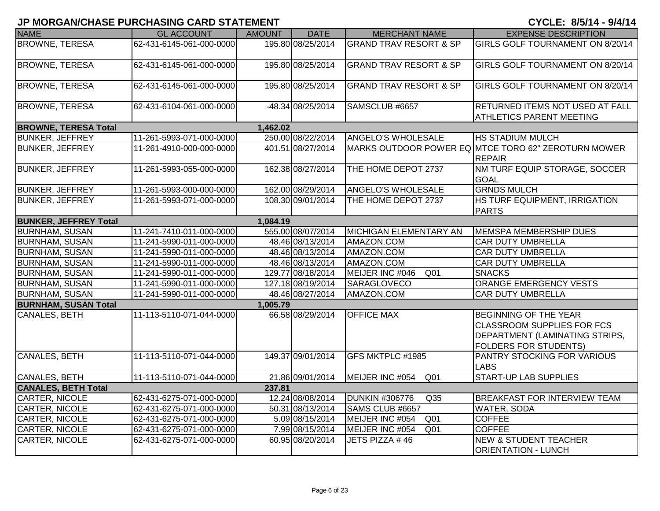| <b>NAME</b>                  | <b>GL ACCOUNT</b>        | <b>AMOUNT</b> | <b>DATE</b>       | <b>MERCHANT NAME</b>                | <b>EXPENSE DESCRIPTION</b>                                                                                                                 |
|------------------------------|--------------------------|---------------|-------------------|-------------------------------------|--------------------------------------------------------------------------------------------------------------------------------------------|
| <b>BROWNE, TERESA</b>        | 62-431-6145-061-000-0000 |               | 195.80 08/25/2014 | <b>GRAND TRAV RESORT &amp; SP</b>   | GIRLS GOLF TOURNAMENT ON 8/20/14                                                                                                           |
| <b>BROWNE, TERESA</b>        | 62-431-6145-061-000-0000 |               | 195.80 08/25/2014 | <b>GRAND TRAV RESORT &amp; SP</b>   | GIRLS GOLF TOURNAMENT ON 8/20/14                                                                                                           |
| <b>BROWNE, TERESA</b>        | 62-431-6145-061-000-0000 |               | 195.80 08/25/2014 | <b>GRAND TRAV RESORT &amp; SP</b>   | GIRLS GOLF TOURNAMENT ON 8/20/14                                                                                                           |
| <b>BROWNE, TERESA</b>        | 62-431-6104-061-000-0000 |               | -48.34 08/25/2014 | SAMSCLUB #6657                      | RETURNED ITEMS NOT USED AT FALL<br><b>ATHLETICS PARENT MEETING</b>                                                                         |
| <b>BROWNE, TERESA Total</b>  |                          | 1,462.02      |                   |                                     |                                                                                                                                            |
| <b>BUNKER, JEFFREY</b>       | 11-261-5993-071-000-0000 |               | 250.00 08/22/2014 | <b>ANGELO'S WHOLESALE</b>           | <b>HS STADIUM MULCH</b>                                                                                                                    |
| <b>BUNKER, JEFFREY</b>       | 11-261-4910-000-000-0000 |               | 401.51 08/27/2014 |                                     | MARKS OUTDOOR POWER EQ MTCE TORO 62" ZEROTURN MOWER<br><b>REPAIR</b>                                                                       |
| <b>BUNKER, JEFFREY</b>       | 11-261-5993-055-000-0000 |               | 162.38 08/27/2014 | THE HOME DEPOT 2737                 | NM TURF EQUIP STORAGE, SOCCER<br><b>GOAL</b>                                                                                               |
| <b>BUNKER, JEFFREY</b>       | 11-261-5993-000-000-0000 |               | 162.00 08/29/2014 | <b>ANGELO'S WHOLESALE</b>           | <b>GRNDS MULCH</b>                                                                                                                         |
| <b>BUNKER, JEFFREY</b>       | 11-261-5993-071-000-0000 |               | 108.30 09/01/2014 | THE HOME DEPOT 2737                 | HS TURF EQUIPMENT, IRRIGATION<br><b>PARTS</b>                                                                                              |
| <b>BUNKER, JEFFREY Total</b> |                          | 1,084.19      |                   |                                     |                                                                                                                                            |
| <b>BURNHAM, SUSAN</b>        | 11-241-7410-011-000-0000 |               | 555.00 08/07/2014 | <b>MICHIGAN ELEMENTARY AN</b>       | MEMSPA MEMBERSHIP DUES                                                                                                                     |
| <b>BURNHAM, SUSAN</b>        | 11-241-5990-011-000-0000 |               | 48.46 08/13/2014  | AMAZON.COM                          | <b>CAR DUTY UMBRELLA</b>                                                                                                                   |
| <b>BURNHAM, SUSAN</b>        | 11-241-5990-011-000-0000 |               | 48.46 08/13/2014  | AMAZON.COM                          | <b>CAR DUTY UMBRELLA</b>                                                                                                                   |
| <b>BURNHAM, SUSAN</b>        | 11-241-5990-011-000-0000 |               | 48.46 08/13/2014  | AMAZON.COM                          | <b>CAR DUTY UMBRELLA</b>                                                                                                                   |
| <b>BURNHAM, SUSAN</b>        | 11-241-5990-011-000-0000 |               | 129.77 08/18/2014 | MEIJER INC #046<br>Q <sub>01</sub>  | <b>SNACKS</b>                                                                                                                              |
| <b>BURNHAM, SUSAN</b>        | 11-241-5990-011-000-0000 |               | 127.18 08/19/2014 | <b>SARAGLOVECO</b>                  | ORANGE EMERGENCY VESTS                                                                                                                     |
| <b>BURNHAM, SUSAN</b>        | 11-241-5990-011-000-0000 |               | 48.46 08/27/2014  | AMAZON.COM                          | <b>CAR DUTY UMBRELLA</b>                                                                                                                   |
| <b>BURNHAM, SUSAN Total</b>  |                          | 1,005.79      |                   |                                     |                                                                                                                                            |
| CANALES, BETH                | 11-113-5110-071-044-0000 |               | 66.58 08/29/2014  | <b>OFFICE MAX</b>                   | <b>BEGINNING OF THE YEAR</b><br><b>CLASSROOM SUPPLIES FOR FCS</b><br><b>DEPARTMENT (LAMINATING STRIPS,</b><br><b>FOLDERS FOR STUDENTS)</b> |
| <b>CANALES, BETH</b>         | 11-113-5110-071-044-0000 |               | 149.37 09/01/2014 | GFS MKTPLC #1985                    | <b>PANTRY STOCKING FOR VARIOUS</b><br><b>LABS</b>                                                                                          |
| <b>CANALES, BETH</b>         | 11-113-5110-071-044-0000 |               | 21.86 09/01/2014  | MEIJER INC #054<br>$\overline{Q01}$ | <b>START-UP LAB SUPPLIES</b>                                                                                                               |
| <b>CANALES, BETH Total</b>   |                          | 237.81        |                   |                                     |                                                                                                                                            |
| CARTER, NICOLE               | 62-431-6275-071-000-0000 |               | 12.24 08/08/2014  | <b>DUNKIN #306776</b><br>Q35        | BREAKFAST FOR INTERVIEW TEAM                                                                                                               |
| CARTER, NICOLE               | 62-431-6275-071-000-0000 |               | 50.31 08/13/2014  | SAMS CLUB #6657                     | WATER, SODA                                                                                                                                |
| CARTER, NICOLE               | 62-431-6275-071-000-0000 |               | 5.09 08/15/2014   | MEIJER INC #054<br>Q <sub>01</sub>  | <b>COFFEE</b>                                                                                                                              |
| <b>CARTER, NICOLE</b>        | 62-431-6275-071-000-0000 |               | 7.99 08/15/2014   | MEIJER INC #054<br>Q <sub>01</sub>  | <b>COFFEE</b>                                                                                                                              |
| CARTER, NICOLE               | 62-431-6275-071-000-0000 |               | 60.95 08/20/2014  | JETS PIZZA #46                      | <b>NEW &amp; STUDENT TEACHER</b><br><b>ORIENTATION - LUNCH</b>                                                                             |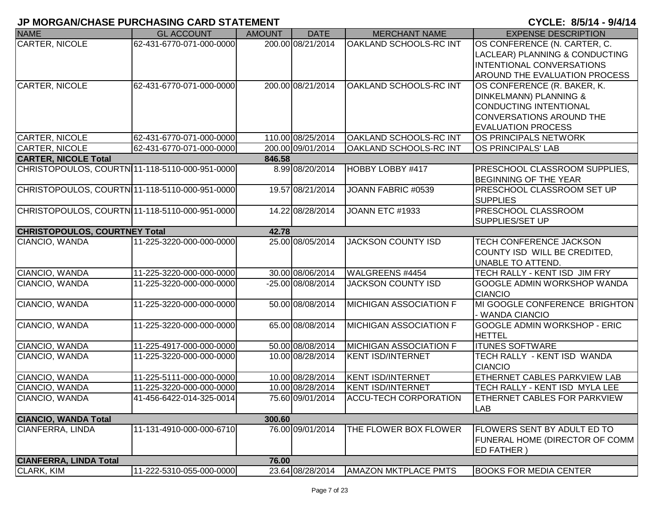| <b>NAME</b>                                    | <b>GL ACCOUNT</b>        | <b>AMOUNT</b> | <b>DATE</b>       | <b>MERCHANT NAME</b>          | <b>EXPENSE DESCRIPTION</b>                                    |
|------------------------------------------------|--------------------------|---------------|-------------------|-------------------------------|---------------------------------------------------------------|
| <b>CARTER, NICOLE</b>                          | 62-431-6770-071-000-0000 |               | 200.00 08/21/2014 | <b>OAKLAND SCHOOLS-RC INT</b> | OS CONFERENCE (N. CARTER, C.                                  |
|                                                |                          |               |                   |                               | LACLEAR) PLANNING & CONDUCTING                                |
|                                                |                          |               |                   |                               | INTENTIONAL CONVERSATIONS                                     |
|                                                |                          |               |                   |                               | AROUND THE EVALUATION PROCESS                                 |
| CARTER, NICOLE                                 | 62-431-6770-071-000-0000 |               | 200.00 08/21/2014 | <b>OAKLAND SCHOOLS-RC INT</b> | OS CONFERENCE (R. BAKER, K.                                   |
|                                                |                          |               |                   |                               | <b>DINKELMANN) PLANNING &amp;</b>                             |
|                                                |                          |               |                   |                               | <b>CONDUCTING INTENTIONAL</b>                                 |
|                                                |                          |               |                   |                               | <b>CONVERSATIONS AROUND THE</b>                               |
|                                                |                          |               |                   |                               | <b>EVALUATION PROCESS</b>                                     |
| <b>CARTER, NICOLE</b>                          | 62-431-6770-071-000-0000 |               | 110.00 08/25/2014 | OAKLAND SCHOOLS-RC INT        | OS PRINCIPALS NETWORK                                         |
| <b>CARTER, NICOLE</b>                          | 62-431-6770-071-000-0000 |               | 200.00 09/01/2014 | <b>OAKLAND SCHOOLS-RC INT</b> | <b>OS PRINCIPALS' LAB</b>                                     |
| <b>CARTER, NICOLE Total</b>                    |                          | 846.58        |                   |                               |                                                               |
| CHRISTOPOULOS, COURTN 11-118-5110-000-951-0000 |                          |               | 8.99 08/20/2014   | HOBBY LOBBY #417              | PRESCHOOL CLASSROOM SUPPLIES,<br><b>BEGINNING OF THE YEAR</b> |
| CHRISTOPOULOS, COURTN 11-118-5110-000-951-0000 |                          |               | 19.57 08/21/2014  | JOANN FABRIC #0539            | PRESCHOOL CLASSROOM SET UP                                    |
|                                                |                          |               |                   |                               | <b>SUPPLIES</b>                                               |
| CHRISTOPOULOS, COURTN 11-118-5110-000-951-0000 |                          |               | 14.22 08/28/2014  | JOANN ETC #1933               | <b>PRESCHOOL CLASSROOM</b>                                    |
|                                                |                          |               |                   |                               | SUPPLIES/SET UP                                               |
| <b>CHRISTOPOULOS, COURTNEY Total</b>           |                          | 42.78         |                   |                               |                                                               |
| CIANCIO, WANDA                                 | 11-225-3220-000-000-0000 |               | 25.00 08/05/2014  | <b>JACKSON COUNTY ISD</b>     | <b>TECH CONFERENCE JACKSON</b>                                |
|                                                |                          |               |                   |                               | COUNTY ISD WILL BE CREDITED,                                  |
|                                                |                          |               |                   |                               | UNABLE TO ATTEND.                                             |
| CIANCIO, WANDA                                 | 11-225-3220-000-000-0000 |               | 30.00 08/06/2014  | WALGREENS #4454               | TECH RALLY - KENT ISD JIM FRY                                 |
| CIANCIO, WANDA                                 | 11-225-3220-000-000-0000 |               | -25.00 08/08/2014 | <b>JACKSON COUNTY ISD</b>     | <b>GOOGLE ADMIN WORKSHOP WANDA</b>                            |
|                                                |                          |               | 50.00 08/08/2014  | <b>MICHIGAN ASSOCIATION F</b> | <b>CIANCIO</b><br>MI GOOGLE CONFERENCE BRIGHTON               |
| CIANCIO, WANDA                                 | 11-225-3220-000-000-0000 |               |                   |                               |                                                               |
| CIANCIO, WANDA                                 | 11-225-3220-000-000-0000 |               | 65.00 08/08/2014  | <b>MICHIGAN ASSOCIATION F</b> | - WANDA CIANCIO<br><b>GOOGLE ADMIN WORKSHOP - ERIC</b>        |
|                                                |                          |               |                   |                               | <b>HETTEL</b>                                                 |
| CIANCIO, WANDA                                 | 11-225-4917-000-000-0000 |               | 50.00 08/08/2014  | <b>MICHIGAN ASSOCIATION F</b> | <b>ITUNES SOFTWARE</b>                                        |
| CIANCIO, WANDA                                 | 11-225-3220-000-000-0000 |               | 10.00 08/28/2014  | <b>KENT ISD/INTERNET</b>      | TECH RALLY - KENT ISD WANDA                                   |
|                                                |                          |               |                   |                               | <b>CIANCIO</b>                                                |
| CIANCIO, WANDA                                 | 11-225-5111-000-000-0000 |               | 10.00 08/28/2014  | <b>KENT ISD/INTERNET</b>      | ETHERNET CABLES PARKVIEW LAB                                  |
| CIANCIO, WANDA                                 | 11-225-3220-000-000-0000 |               | 10.00 08/28/2014  | <b>KENT ISD/INTERNET</b>      | TECH RALLY - KENT ISD MYLA LEE                                |
| CIANCIO, WANDA                                 | 41-456-6422-014-325-0014 |               | 75.60 09/01/2014  | <b>ACCU-TECH CORPORATION</b>  | IETHERNET CABLES FOR PARKVIEW                                 |
|                                                |                          |               |                   |                               | <b>LAB</b>                                                    |
| <b>CIANCIO, WANDA Total</b>                    |                          | 300.60        |                   |                               |                                                               |
| CIANFERRA, LINDA                               | 11-131-4910-000-000-6710 |               | 76.00 09/01/2014  | THE FLOWER BOX FLOWER         | FLOWERS SENT BY ADULT ED TO                                   |
|                                                |                          |               |                   |                               | FUNERAL HOME (DIRECTOR OF COMM                                |
|                                                |                          |               |                   |                               | <b>ED FATHER)</b>                                             |
| <b>CIANFERRA, LINDA Total</b>                  |                          | 76.00         |                   |                               |                                                               |
| CLARK, KIM                                     | 11-222-5310-055-000-0000 |               | 23.64 08/28/2014  | <b>AMAZON MKTPLACE PMTS</b>   | <b>BOOKS FOR MEDIA CENTER</b>                                 |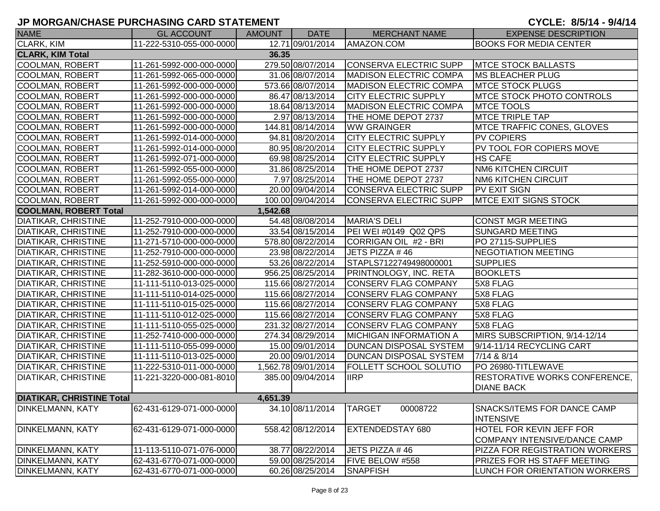| <b>NAME</b>                      | <b>GL ACCOUNT</b>        | AMOUNT   | <b>DATE</b>         | <b>MERCHANT NAME</b>          | <b>EXPENSE DESCRIPTION</b>                             |
|----------------------------------|--------------------------|----------|---------------------|-------------------------------|--------------------------------------------------------|
| CLARK, KIM                       | 11-222-5310-055-000-0000 |          | 12.71 09/01/2014    | AMAZON.COM                    | <b>BOOKS FOR MEDIA CENTER</b>                          |
| <b>CLARK, KIM Total</b>          |                          | 36.35    |                     |                               |                                                        |
| COOLMAN, ROBERT                  | 11-261-5992-000-000-0000 |          | 279.50 08/07/2014   | CONSERVA ELECTRIC SUPP        | <b>MTCE STOCK BALLASTS</b>                             |
| COOLMAN, ROBERT                  | 11-261-5992-065-000-0000 |          | 31.06 08/07/2014    | <b>MADISON ELECTRIC COMPA</b> | <b>MS BLEACHER PLUG</b>                                |
| COOLMAN, ROBERT                  | 11-261-5992-000-000-0000 |          | 573.66 08/07/2014   | <b>MADISON ELECTRIC COMPA</b> | <b>MTCE STOCK PLUGS</b>                                |
| COOLMAN, ROBERT                  | 11-261-5992-000-000-0000 |          | 86.47 08/13/2014    | <b>CITY ELECTRIC SUPPLY</b>   | <b>IMTCE STOCK PHOTO CONTROLS</b>                      |
| COOLMAN, ROBERT                  | 11-261-5992-000-000-0000 |          | 18.64 08/13/2014    | <b>MADISON ELECTRIC COMPA</b> | <b>MTCE TOOLS</b>                                      |
| COOLMAN, ROBERT                  | 11-261-5992-000-000-0000 |          | 2.97 08/13/2014     | THE HOME DEPOT 2737           | <b>MTCE TRIPLE TAP</b>                                 |
| COOLMAN, ROBERT                  | 11-261-5992-000-000-0000 |          | 144.81 08/14/2014   | <b>WW GRAINGER</b>            | MTCE TRAFFIC CONES, GLOVES                             |
| COOLMAN, ROBERT                  | 11-261-5992-014-000-0000 |          | 94.81 08/20/2014    | <b>CITY ELECTRIC SUPPLY</b>   | PV COPIERS                                             |
| <b>COOLMAN, ROBERT</b>           | 11-261-5992-014-000-0000 |          | 80.95 08/20/2014    | <b>CITY ELECTRIC SUPPLY</b>   | PV TOOL FOR COPIERS MOVE                               |
| COOLMAN, ROBERT                  | 11-261-5992-071-000-0000 |          | 69.98 08/25/2014    | <b>CITY ELECTRIC SUPPLY</b>   | <b>HS CAFE</b>                                         |
| COOLMAN, ROBERT                  | 11-261-5992-055-000-0000 |          | 31.86 08/25/2014    | THE HOME DEPOT 2737           | <b>NM6 KITCHEN CIRCUIT</b>                             |
| COOLMAN, ROBERT                  | 11-261-5992-055-000-0000 |          | 7.97 08/25/2014     | THE HOME DEPOT 2737           | <b>NM6 KITCHEN CIRCUIT</b>                             |
| COOLMAN, ROBERT                  | 11-261-5992-014-000-0000 |          | 20.00 09/04/2014    | CONSERVA ELECTRIC SUPP        | <b>PV EXIT SIGN</b>                                    |
| COOLMAN, ROBERT                  | 11-261-5992-000-000-0000 |          | 100.00 09/04/2014   | CONSERVA ELECTRIC SUPP        | <b>MTCE EXIT SIGNS STOCK</b>                           |
| <b>COOLMAN, ROBERT Total</b>     |                          | 1,542.68 |                     |                               |                                                        |
| <b>DIATIKAR, CHRISTINE</b>       | 11-252-7910-000-000-0000 |          | 54.48 08/08/2014    | <b>MARIA'S DELI</b>           | <b>CONST MGR MEETING</b>                               |
| <b>DIATIKAR, CHRISTINE</b>       | 11-252-7910-000-000-0000 |          | 33.54 08/15/2014    | PEI WEI #0149 Q02 QPS         | <b>SUNGARD MEETING</b>                                 |
| <b>DIATIKAR, CHRISTINE</b>       | 11-271-5710-000-000-0000 |          | 578.80 08/22/2014   | CORRIGAN OIL #2 - BRI         | PO 27115-SUPPLIES                                      |
| <b>DIATIKAR, CHRISTINE</b>       | 11-252-7910-000-000-0000 |          | 23.98 08/22/2014    | JETS PIZZA #46                | NEGOTIATION MEETING                                    |
| <b>DIATIKAR, CHRISTINE</b>       | 11-252-5910-000-000-0000 |          | 53.26 08/22/2014    | STAPLS7122749498000001        | <b>SUPPLIES</b>                                        |
| <b>DIATIKAR, CHRISTINE</b>       | 11-282-3610-000-000-0000 |          | 956.25 08/25/2014   | PRINTNOLOGY, INC. RETA        | <b>BOOKLETS</b>                                        |
| <b>DIATIKAR, CHRISTINE</b>       | 11-111-5110-013-025-0000 |          | 115.66 08/27/2014   | <b>CONSERV FLAG COMPANY</b>   | 5X8 FLAG                                               |
| <b>DIATIKAR, CHRISTINE</b>       | 11-111-5110-014-025-0000 |          | 115.66 08/27/2014   | <b>CONSERV FLAG COMPANY</b>   | 5X8 FLAG                                               |
| <b>DIATIKAR, CHRISTINE</b>       | 11-111-5110-015-025-0000 |          | 115.66 08/27/2014   | CONSERV FLAG COMPANY          | 5X8 FLAG                                               |
| <b>DIATIKAR, CHRISTINE</b>       | 11-111-5110-012-025-0000 |          | 115.66 08/27/2014   | CONSERV FLAG COMPANY          | 5X8 FLAG                                               |
| <b>DIATIKAR, CHRISTINE</b>       | 11-111-5110-055-025-0000 |          | 231.32 08/27/2014   | <b>CONSERV FLAG COMPANY</b>   | 5X8 FLAG                                               |
| <b>DIATIKAR, CHRISTINE</b>       | 11-252-7410-000-000-0000 |          | 274.34 08/29/2014   | <b>MICHIGAN INFORMATION A</b> | MIRS SUBSCRIPTION, 9/14-12/14                          |
| <b>DIATIKAR, CHRISTINE</b>       | 11-111-5110-055-099-0000 |          | 15.00 09/01/2014    | <b>DUNCAN DISPOSAL SYSTEM</b> | 9/14-11/14 RECYCLING CART                              |
| <b>DIATIKAR, CHRISTINE</b>       | 11-111-5110-013-025-0000 |          | 20.00 09/01/2014    | <b>DUNCAN DISPOSAL SYSTEM</b> | 7/14 & 8/14                                            |
| <b>DIATIKAR, CHRISTINE</b>       | 11-222-5310-011-000-0000 |          | 1,562.78 09/01/2014 | <b>FOLLETT SCHOOL SOLUTIO</b> | PO 26980-TITLEWAVE                                     |
| <b>DIATIKAR, CHRISTINE</b>       | 11-221-3220-000-081-8010 |          | 385.00 09/04/2014   | <b>IIRP</b>                   | RESTORATIVE WORKS CONFERENCE,                          |
|                                  |                          |          |                     |                               | <b>DIANE BACK</b>                                      |
| <b>DIATIKAR, CHRISTINE Total</b> |                          | 4,651.39 |                     |                               |                                                        |
| <b>DINKELMANN, KATY</b>          | 62-431-6129-071-000-0000 |          | 34.10 08/11/2014    | <b>TARGET</b><br>00008722     | <b>SNACKS/ITEMS FOR DANCE CAMP</b><br><b>INTENSIVE</b> |
| <b>DINKELMANN, KATY</b>          | 62-431-6129-071-000-0000 |          | 558.42 08/12/2014   | <b>EXTENDEDSTAY 680</b>       | <b>HOTEL FOR KEVIN JEFF FOR</b>                        |
|                                  |                          |          |                     |                               | COMPANY INTENSIVE/DANCE CAMP                           |
| <b>DINKELMANN, KATY</b>          | 11-113-5110-071-076-0000 |          | 38.77 08/22/2014    | JETS PIZZA #46                | <b>PIZZA FOR REGISTRATION WORKERS</b>                  |
| <b>DINKELMANN, KATY</b>          | 62-431-6770-071-000-0000 |          | 59.00 08/25/2014    | FIVE BELOW #558               | <b>PRIZES FOR HS STAFF MEETING</b>                     |
| <b>DINKELMANN, KATY</b>          | 62-431-6770-071-000-0000 |          | 60.26 08/25/2014    | <b>SNAPFISH</b>               | LUNCH FOR ORIENTATION WORKERS                          |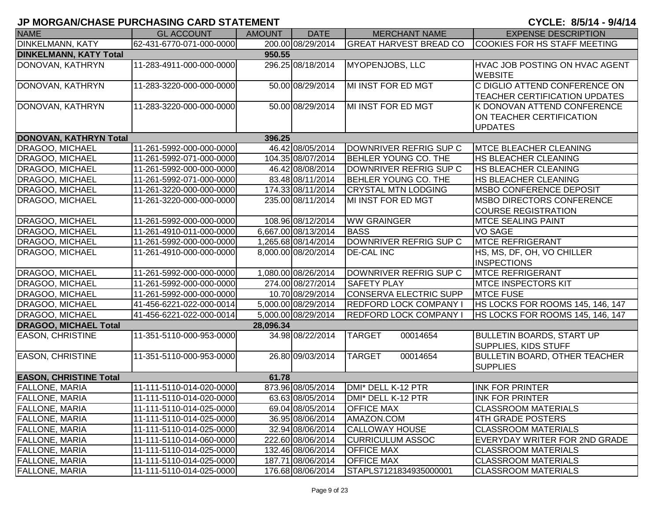| <b>NAME</b>                   | <b>GL ACCOUNT</b>        | <b>AMOUNT</b> | <b>DATE</b>         | <b>MERCHANT NAME</b>          | <b>EXPENSE DESCRIPTION</b>                                                |
|-------------------------------|--------------------------|---------------|---------------------|-------------------------------|---------------------------------------------------------------------------|
| <b>DINKELMANN, KATY</b>       | 62-431-6770-071-000-0000 |               | 200.00 08/29/2014   | <b>GREAT HARVEST BREAD CO</b> | <b>COOKIES FOR HS STAFF MEETING</b>                                       |
| <b>DINKELMANN, KATY Total</b> |                          | 950.55        |                     |                               |                                                                           |
| DONOVAN, KATHRYN              | 11-283-4911-000-000-0000 |               | 296.25 08/18/2014   | <b>MYOPENJOBS, LLC</b>        | HVAC JOB POSTING ON HVAC AGENT<br><b>WEBSITE</b>                          |
| DONOVAN, KATHRYN              | 11-283-3220-000-000-0000 |               | 50.00 08/29/2014    | MI INST FOR ED MGT            | C DIGLIO ATTEND CONFERENCE ON<br><b>TEACHER CERTIFICATION UPDATES</b>     |
| DONOVAN, KATHRYN              | 11-283-3220-000-000-0000 |               | 50.00 08/29/2014    | MI INST FOR ED MGT            | K DONOVAN ATTEND CONFERENCE<br>ON TEACHER CERTIFICATION<br><b>UPDATES</b> |
| DONOVAN, KATHRYN Total        |                          | 396.25        |                     |                               |                                                                           |
| DRAGOO, MICHAEL               | 11-261-5992-000-000-0000 |               | 46.42 08/05/2014    | DOWNRIVER REFRIG SUP C        | <b>MTCE BLEACHER CLEANING</b>                                             |
| DRAGOO, MICHAEL               | 11-261-5992-071-000-0000 |               | 104.35 08/07/2014   | BEHLER YOUNG CO. THE          | <b>HS BLEACHER CLEANING</b>                                               |
| DRAGOO, MICHAEL               | 11-261-5992-000-000-0000 |               | 46.42 08/08/2014    | DOWNRIVER REFRIG SUP C        | <b>HS BLEACHER CLEANING</b>                                               |
| DRAGOO, MICHAEL               | 11-261-5992-071-000-0000 |               | 83.48 08/11/2014    | <b>BEHLER YOUNG CO. THE</b>   | <b>HS BLEACHER CLEANING</b>                                               |
| DRAGOO, MICHAEL               | 11-261-3220-000-000-0000 |               | 174.33 08/11/2014   | <b>CRYSTAL MTN LODGING</b>    | <b>IMSBO CONFERENCE DEPOSIT</b>                                           |
| DRAGOO, MICHAEL               | 11-261-3220-000-000-0000 |               | 235.00 08/11/2014   | MI INST FOR ED MGT            | <b>IMSBO DIRECTORS CONFERENCE</b><br><b>COURSE REGISTRATION</b>           |
| DRAGOO, MICHAEL               | 11-261-5992-000-000-0000 |               | 108.96 08/12/2014   | <b>WW GRAINGER</b>            | <b>MTCE SEALING PAINT</b>                                                 |
| DRAGOO, MICHAEL               | 11-261-4910-011-000-0000 |               | 6,667.00 08/13/2014 | <b>BASS</b>                   | <b>VO SAGE</b>                                                            |
| DRAGOO, MICHAEL               | 11-261-5992-000-000-0000 |               | 1,265.68 08/14/2014 | DOWNRIVER REFRIG SUP C        | <b>MTCE REFRIGERANT</b>                                                   |
| DRAGOO, MICHAEL               | 11-261-4910-000-000-0000 |               | 8,000.00 08/20/2014 | <b>DE-CAL INC</b>             | HS, MS, DF, OH, VO CHILLER<br><b>INSPECTIONS</b>                          |
| DRAGOO, MICHAEL               | 11-261-5992-000-000-0000 |               | 1,080.00 08/26/2014 | DOWNRIVER REFRIG SUP C        | <b>MTCE REFRIGERANT</b>                                                   |
| DRAGOO, MICHAEL               | 11-261-5992-000-000-0000 |               | 274.00 08/27/2014   | <b>SAFETY PLAY</b>            | <b>MTCE INSPECTORS KIT</b>                                                |
| DRAGOO, MICHAEL               | 11-261-5992-000-000-0000 |               | 10.70 08/29/2014    | <b>CONSERVA ELECTRIC SUPP</b> | <b>MTCE FUSE</b>                                                          |
| DRAGOO, MICHAEL               | 41-456-6221-022-000-0014 |               | 5,000.00 08/29/2014 | <b>REDFORD LOCK COMPANY I</b> | HS LOCKS FOR ROOMS 145, 146, 147                                          |
| DRAGOO, MICHAEL               | 41-456-6221-022-000-0014 |               | 5,000.00 08/29/2014 | <b>REDFORD LOCK COMPANY I</b> | HS LOCKS FOR ROOMS 145, 146, 147                                          |
| <b>DRAGOO, MICHAEL Total</b>  |                          | 28,096.34     |                     |                               |                                                                           |
| <b>EASON, CHRISTINE</b>       | 11-351-5110-000-953-0000 |               | 34.98 08/22/2014    | <b>TARGET</b><br>00014654     | <b>BULLETIN BOARDS, START UP</b><br><b>SUPPLIES, KIDS STUFF</b>           |
| <b>EASON, CHRISTINE</b>       | 11-351-5110-000-953-0000 |               | 26.80 09/03/2014    | <b>TARGET</b><br>00014654     | <b>BULLETIN BOARD, OTHER TEACHER</b><br><b>SUPPLIES</b>                   |
| <b>EASON, CHRISTINE Total</b> |                          | 61.78         |                     |                               |                                                                           |
| <b>FALLONE, MARIA</b>         | 11-111-5110-014-020-0000 |               | 873.96 08/05/2014   | DMI* DELL K-12 PTR            | <b>INK FOR PRINTER</b>                                                    |
| <b>FALLONE, MARIA</b>         | 11-111-5110-014-020-0000 |               | 63.63 08/05/2014    | DMI* DELL K-12 PTR            | <b>IINK FOR PRINTER</b>                                                   |
| <b>FALLONE, MARIA</b>         | 11-111-5110-014-025-0000 |               | 69.04 08/05/2014    | <b>OFFICE MAX</b>             | <b>CLASSROOM MATERIALS</b>                                                |
| <b>FALLONE, MARIA</b>         | 11-111-5110-014-025-0000 |               | 36.95 08/06/2014    | AMAZON.COM                    | 4TH GRADE POSTERS                                                         |
| <b>FALLONE, MARIA</b>         | 11-111-5110-014-025-0000 |               | 32.94 08/06/2014    | <b>CALLOWAY HOUSE</b>         | <b>CLASSROOM MATERIALS</b>                                                |
| <b>FALLONE, MARIA</b>         | 11-111-5110-014-060-0000 |               | 222.60 08/06/2014   | <b>CURRICULUM ASSOC</b>       | EVERYDAY WRITER FOR 2ND GRADE                                             |
| <b>FALLONE, MARIA</b>         | 11-111-5110-014-025-0000 |               | 132.46 08/06/2014   | <b>OFFICE MAX</b>             | <b>CLASSROOM MATERIALS</b>                                                |
| <b>FALLONE, MARIA</b>         | 11-111-5110-014-025-0000 |               | 187.71 08/06/2014   | <b>OFFICE MAX</b>             | <b>CLASSROOM MATERIALS</b>                                                |
| <b>FALLONE, MARIA</b>         | 11-111-5110-014-025-0000 |               | 176.68 08/06/2014   | STAPLS7121834935000001        | <b>CLASSROOM MATERIALS</b>                                                |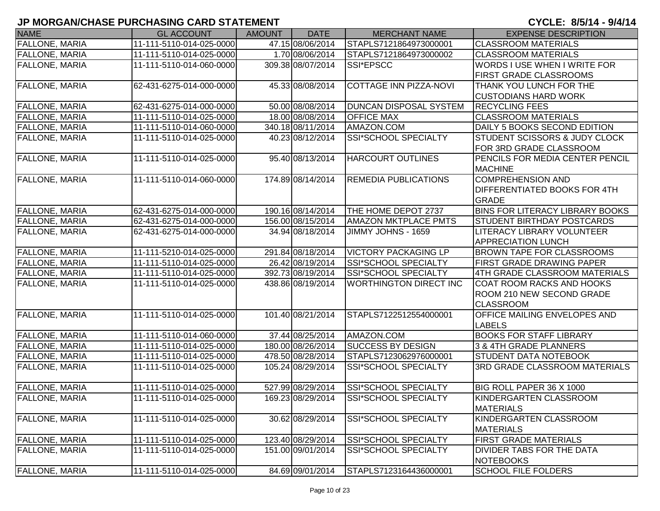| <b>NAME</b>           | <b>GL ACCOUNT</b>        | <b>AMOUNT</b> | <b>DATE</b>       | <b>MERCHANT NAME</b>          | <b>EXPENSE DESCRIPTION</b>               |
|-----------------------|--------------------------|---------------|-------------------|-------------------------------|------------------------------------------|
| <b>FALLONE, MARIA</b> | 11-111-5110-014-025-0000 |               | 47.15 08/06/2014  | STAPLS7121864973000001        | <b>CLASSROOM MATERIALS</b>               |
| <b>FALLONE, MARIA</b> | 11-111-5110-014-025-0000 |               | 1.70 08/06/2014   | STAPLS7121864973000002        | <b>CLASSROOM MATERIALS</b>               |
| <b>FALLONE, MARIA</b> | 11-111-5110-014-060-0000 |               | 309.38 08/07/2014 | SSI*EPSCC                     | WORDS I USE WHEN I WRITE FOR             |
|                       |                          |               |                   |                               | <b>FIRST GRADE CLASSROOMS</b>            |
| <b>FALLONE, MARIA</b> | 62-431-6275-014-000-0000 |               | 45.33 08/08/2014  | COTTAGE INN PIZZA-NOVI        | <b>THANK YOU LUNCH FOR THE</b>           |
|                       |                          |               |                   |                               | <b>CUSTODIANS HARD WORK</b>              |
| FALLONE, MARIA        | 62-431-6275-014-000-0000 |               | 50.00 08/08/2014  | <b>DUNCAN DISPOSAL SYSTEM</b> | <b>RECYCLING FEES</b>                    |
| <b>FALLONE, MARIA</b> | 11-111-5110-014-025-0000 |               | 18.00 08/08/2014  | <b>OFFICE MAX</b>             | <b>CLASSROOM MATERIALS</b>               |
| <b>FALLONE, MARIA</b> | 11-111-5110-014-060-0000 |               | 340.18 08/11/2014 | AMAZON.COM                    | DAILY 5 BOOKS SECOND EDITION             |
| <b>FALLONE, MARIA</b> | 11-111-5110-014-025-0000 |               | 40.23 08/12/2014  | SSI*SCHOOL SPECIALTY          | <b>STUDENT SCISSORS &amp; JUDY CLOCK</b> |
|                       |                          |               |                   |                               | FOR 3RD GRADE CLASSROOM                  |
| <b>FALLONE, MARIA</b> | 11-111-5110-014-025-0000 |               | 95.40 08/13/2014  | <b>HARCOURT OUTLINES</b>      | PENCILS FOR MEDIA CENTER PENCIL          |
|                       |                          |               |                   |                               | <b>MACHINE</b>                           |
| <b>FALLONE, MARIA</b> | 11-111-5110-014-060-0000 |               | 174.89 08/14/2014 | REMEDIA PUBLICATIONS          | <b>COMPREHENSION AND</b>                 |
|                       |                          |               |                   |                               | <b>DIFFERENTIATED BOOKS FOR 4TH</b>      |
|                       |                          |               |                   |                               | GRADE                                    |
| <b>FALLONE, MARIA</b> | 62-431-6275-014-000-0000 |               | 190.16 08/14/2014 | THE HOME DEPOT 2737           | <b>BINS FOR LITERACY LIBRARY BOOKS</b>   |
| FALLONE, MARIA        | 62-431-6275-014-000-0000 |               | 156.00 08/15/2014 | <b>AMAZON MKTPLACE PMTS</b>   | <b>STUDENT BIRTHDAY POSTCARDS</b>        |
| FALLONE, MARIA        | 62-431-6275-014-000-0000 |               | 34.94 08/18/2014  | JIMMY JOHNS - 1659            | LITERACY LIBRARY VOLUNTEER               |
|                       |                          |               |                   |                               | <b>APPRECIATION LUNCH</b>                |
| <b>FALLONE, MARIA</b> | 11-111-5210-014-025-0000 |               | 291.84 08/18/2014 | <b>VICTORY PACKAGING LP</b>   | <b>BROWN TAPE FOR CLASSROOMS</b>         |
| <b>FALLONE, MARIA</b> | 11-111-5110-014-025-0000 |               | 26.42 08/19/2014  | SSI*SCHOOL SPECIALTY          | <b>FIRST GRADE DRAWING PAPER</b>         |
| <b>FALLONE, MARIA</b> | 11-111-5110-014-025-0000 |               | 392.73 08/19/2014 | SSI*SCHOOL SPECIALTY          | 4TH GRADE CLASSROOM MATERIALS            |
| <b>FALLONE, MARIA</b> | 11-111-5110-014-025-0000 |               | 438.86 08/19/2014 | <b>WORTHINGTON DIRECT INC</b> | <b>COAT ROOM RACKS AND HOOKS</b>         |
|                       |                          |               |                   |                               | ROOM 210 NEW SECOND GRADE                |
|                       |                          |               |                   |                               | <b>CLASSROOM</b>                         |
| <b>FALLONE, MARIA</b> | 11-111-5110-014-025-0000 |               | 101.40 08/21/2014 | STAPLS7122512554000001        | <b>OFFICE MAILING ENVELOPES AND</b>      |
|                       |                          |               |                   |                               | <b>LABELS</b>                            |
| FALLONE, MARIA        | 11-111-5110-014-060-0000 |               | 37.44 08/25/2014  | AMAZON.COM                    | <b>BOOKS FOR STAFF LIBRARY</b>           |
| <b>FALLONE, MARIA</b> | 11-111-5110-014-025-0000 |               | 180.00 08/26/2014 | <b>SUCCESS BY DESIGN</b>      | 3 & 4TH GRADE PLANNERS                   |
| FALLONE, MARIA        | 11-111-5110-014-025-0000 |               | 478.50 08/28/2014 | STAPLS7123062976000001        | <b>STUDENT DATA NOTEBOOK</b>             |
| <b>FALLONE, MARIA</b> | 11-111-5110-014-025-0000 |               | 105.24 08/29/2014 | SSI*SCHOOL SPECIALTY          | <b>3RD GRADE CLASSROOM MATERIALS</b>     |
|                       |                          |               |                   |                               |                                          |
| <b>FALLONE, MARIA</b> | 11-111-5110-014-025-0000 |               | 527.99 08/29/2014 | SSI*SCHOOL SPECIALTY          | BIG ROLL PAPER 36 X 1000                 |
| <b>FALLONE, MARIA</b> | 11-111-5110-014-025-0000 |               | 169.23 08/29/2014 | SSI*SCHOOL SPECIALTY          | KINDERGARTEN CLASSROOM                   |
|                       |                          |               |                   |                               | <b>MATERIALS</b>                         |
| <b>FALLONE, MARIA</b> | 11-111-5110-014-025-0000 |               | 30.62 08/29/2014  | SSI*SCHOOL SPECIALTY          | KINDERGARTEN CLASSROOM                   |
|                       |                          |               |                   |                               | <b>MATERIALS</b>                         |
| <b>FALLONE, MARIA</b> | 11-111-5110-014-025-0000 |               | 123.40 08/29/2014 | SSI*SCHOOL SPECIALTY          | <b>FIRST GRADE MATERIALS</b>             |
| <b>FALLONE, MARIA</b> | 11-111-5110-014-025-0000 |               | 151.00 09/01/2014 | SSI*SCHOOL SPECIALTY          | <b>DIVIDER TABS FOR THE DATA</b>         |
|                       |                          |               |                   |                               | NOTEBOOKS                                |
| <b>FALLONE, MARIA</b> | 11-111-5110-014-025-0000 |               | 84.69 09/01/2014  | STAPLS7123164436000001        | <b>SCHOOL FILE FOLDERS</b>               |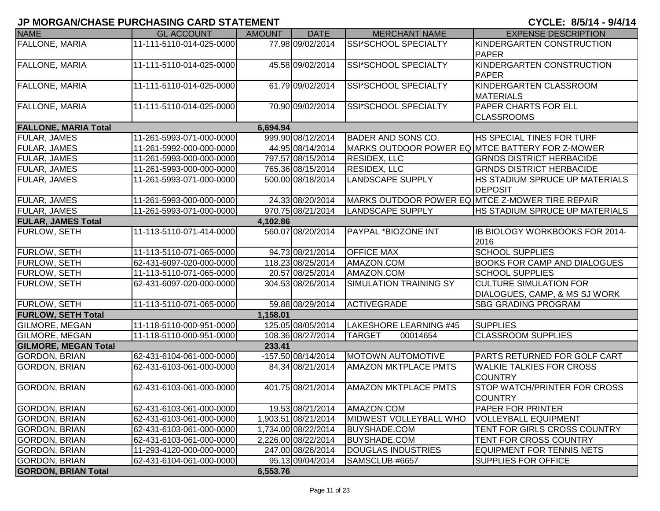| <b>NAME</b>                 | <b>GL ACCOUNT</b>        | <b>AMOUNT</b> | <b>DATE</b>         | <b>MERCHANT NAME</b>                            | <b>EXPENSE DESCRIPTION</b>                            |
|-----------------------------|--------------------------|---------------|---------------------|-------------------------------------------------|-------------------------------------------------------|
| <b>FALLONE, MARIA</b>       | 11-111-5110-014-025-0000 |               | 77.98 09/02/2014    | SSI*SCHOOL SPECIALTY                            | KINDERGARTEN CONSTRUCTION                             |
|                             |                          |               |                     |                                                 | PAPER                                                 |
| <b>FALLONE, MARIA</b>       | 11-111-5110-014-025-0000 |               | 45.58 09/02/2014    | SSI*SCHOOL SPECIALTY                            | KINDERGARTEN CONSTRUCTION                             |
|                             |                          |               |                     |                                                 | <b>PAPER</b>                                          |
| <b>FALLONE, MARIA</b>       | 11-111-5110-014-025-0000 |               | 61.79 09/02/2014    | SSI*SCHOOL SPECIALTY                            | KINDERGARTEN CLASSROOM                                |
|                             |                          |               |                     |                                                 | <b>MATERIALS</b>                                      |
| FALLONE, MARIA              | 11-111-5110-014-025-0000 |               | 70.90 09/02/2014    | SSI*SCHOOL SPECIALTY                            | <b>PAPER CHARTS FOR ELL</b>                           |
|                             |                          |               |                     |                                                 | <b>CLASSROOMS</b>                                     |
| <b>FALLONE, MARIA Total</b> |                          | 6,694.94      |                     |                                                 |                                                       |
| FULAR, JAMES                | 11-261-5993-071-000-0000 |               | 999.90 08/12/2014   | <b>BADER AND SONS CO.</b>                       | <b>HS SPECIAL TINES FOR TURF</b>                      |
| FULAR, JAMES                | 11-261-5992-000-000-0000 |               | 44.95 08/14/2014    |                                                 | MARKS OUTDOOR POWER EQ MTCE BATTERY FOR Z-MOWER       |
| FULAR, JAMES                | 11-261-5993-000-000-0000 |               | 797.57 08/15/2014   | <b>RESIDEX, LLC</b>                             | <b>GRNDS DISTRICT HERBACIDE</b>                       |
| FULAR, JAMES                | 11-261-5993-000-000-0000 |               | 765.36 08/15/2014   | <b>RESIDEX, LLC</b>                             | <b>GRNDS DISTRICT HERBACIDE</b>                       |
| FULAR, JAMES                | 11-261-5993-071-000-0000 |               | 500.00 08/18/2014   | <b>LANDSCAPE SUPPLY</b>                         | <b>HS STADIUM SPRUCE UP MATERIALS</b>                 |
|                             |                          |               |                     |                                                 | <b>DEPOSIT</b>                                        |
| <b>FULAR, JAMES</b>         | 11-261-5993-000-000-0000 |               | 24.33 08/20/2014    | MARKS OUTDOOR POWER EQ MTCE Z-MOWER TIRE REPAIR |                                                       |
| FULAR, JAMES                | 11-261-5993-071-000-0000 |               | 970.75 08/21/2014   | <b>LANDSCAPE SUPPLY</b>                         | HS STADIUM SPRUCE UP MATERIALS                        |
| <b>FULAR, JAMES Total</b>   |                          | 4,102.86      |                     |                                                 |                                                       |
| FURLOW, SETH                | 11-113-5110-071-414-0000 |               | 560.07 08/20/2014   | PAYPAL *BIOZONE INT                             | <b>IB BIOLOGY WORKBOOKS FOR 2014-</b>                 |
|                             |                          |               |                     |                                                 | 2016                                                  |
| FURLOW, SETH                | 11-113-5110-071-065-0000 |               | 94.73 08/21/2014    | <b>OFFICE MAX</b>                               | <b>SCHOOL SUPPLIES</b>                                |
| FURLOW, SETH                | 62-431-6097-020-000-0000 |               | 118.23 08/25/2014   | AMAZON.COM                                      | <b>BOOKS FOR CAMP AND DIALOGUES</b>                   |
| <b>FURLOW, SETH</b>         | 11-113-5110-071-065-0000 |               | 20.57 08/25/2014    | AMAZON.COM                                      | <b>SCHOOL SUPPLIES</b>                                |
| FURLOW, SETH                | 62-431-6097-020-000-0000 |               | 304.53 08/26/2014   | <b>SIMULATION TRAINING SY</b>                   | <b>CULTURE SIMULATION FOR</b>                         |
|                             |                          |               |                     |                                                 | DIALOGUES, CAMP, & MS SJ WORK                         |
| <b>FURLOW, SETH</b>         | 11-113-5110-071-065-0000 |               | 59.88 08/29/2014    | <b>ACTIVEGRADE</b>                              | <b>SBG GRADING PROGRAM</b>                            |
| <b>FURLOW, SETH Total</b>   |                          | 1,158.01      |                     |                                                 |                                                       |
| GILMORE, MEGAN              | 11-118-5110-000-951-0000 |               | 125.05 08/05/2014   | LAKESHORE LEARNING #45                          | <b>SUPPLIES</b>                                       |
| GILMORE, MEGAN              | 11-118-5110-000-951-0000 |               | 108.36 08/27/2014   | <b>TARGET</b><br>00014654                       | <b>CLASSROOM SUPPLIES</b>                             |
| <b>GILMORE, MEGAN Total</b> |                          | 233.41        |                     |                                                 |                                                       |
| GORDON, BRIAN               | 62-431-6104-061-000-0000 |               | -157.50 08/14/2014  | <b>MOTOWN AUTOMOTIVE</b>                        | <b>PARTS RETURNED FOR GOLF CART</b>                   |
| GORDON, BRIAN               | 62-431-6103-061-000-0000 |               | 84.34 08/21/2014    | <b>AMAZON MKTPLACE PMTS</b>                     | <b>WALKIE TALKIES FOR CROSS</b>                       |
|                             |                          |               |                     |                                                 | <b>COUNTRY</b>                                        |
| <b>GORDON, BRIAN</b>        | 62-431-6103-061-000-0000 |               | 401.75 08/21/2014   | <b>AMAZON MKTPLACE PMTS</b>                     | <b>STOP WATCH/PRINTER FOR CROSS</b><br><b>COUNTRY</b> |
| <b>GORDON, BRIAN</b>        | 62-431-6103-061-000-0000 |               | 19.53 08/21/2014    | AMAZON.COM                                      | <b>PAPER FOR PRINTER</b>                              |
| <b>GORDON, BRIAN</b>        | 62-431-6103-061-000-0000 |               | 1,903.51 08/21/2014 | MIDWEST VOLLEYBALL WHO                          | <b>VOLLEYBALL EQUIPMENT</b>                           |
| <b>GORDON, BRIAN</b>        | 62-431-6103-061-000-0000 |               | 1,734.00 08/22/2014 | <b>BUYSHADE.COM</b>                             | TENT FOR GIRLS CROSS COUNTRY                          |
| <b>GORDON, BRIAN</b>        | 62-431-6103-061-000-0000 |               | 2,226.00 08/22/2014 | <b>BUYSHADE.COM</b>                             | TENT FOR CROSS COUNTRY                                |
| <b>GORDON, BRIAN</b>        | 11-293-4120-000-000-0000 |               | 247.00 08/26/2014   | <b>DOUGLAS INDUSTRIES</b>                       | <b>EQUIPMENT FOR TENNIS NETS</b>                      |
| <b>GORDON, BRIAN</b>        | 62-431-6104-061-000-0000 |               | 95.13 09/04/2014    | SAMSCLUB #6657                                  | <b>SUPPLIES FOR OFFICE</b>                            |
| <b>GORDON, BRIAN Total</b>  |                          | 6,553.76      |                     |                                                 |                                                       |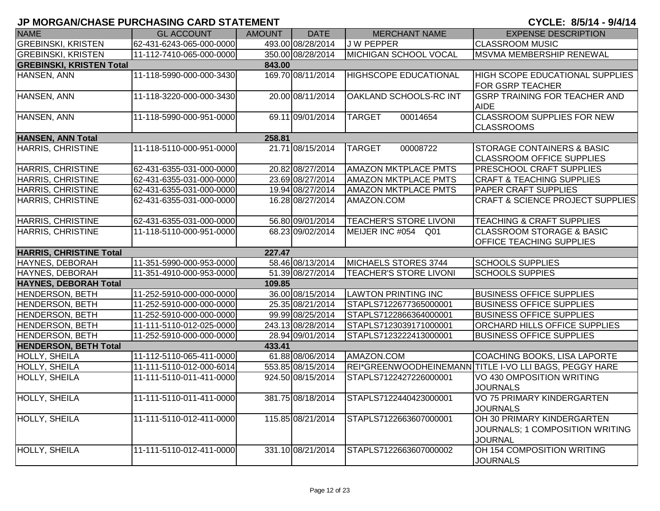| <b>NAME</b>                     | <b>GL ACCOUNT</b>        | <b>AMOUNT</b> | <b>DATE</b>       | <b>MERCHANT NAME</b>          | <b>EXPENSE DESCRIPTION</b>                                                      |
|---------------------------------|--------------------------|---------------|-------------------|-------------------------------|---------------------------------------------------------------------------------|
| <b>GREBINSKI, KRISTEN</b>       | 62-431-6243-065-000-0000 |               | 493.00 08/28/2014 | J W PEPPER                    | <b>CLASSROOM MUSIC</b>                                                          |
| <b>GREBINSKI, KRISTEN</b>       | 11-112-7410-065-000-0000 |               | 350.00 08/28/2014 | MICHIGAN SCHOOL VOCAL         | MSVMA MEMBERSHIP RENEWAL                                                        |
| <b>GREBINSKI, KRISTEN Total</b> |                          | 843.00        |                   |                               |                                                                                 |
| HANSEN, ANN                     | 11-118-5990-000-000-3430 |               | 169.70 08/11/2014 | <b>HIGHSCOPE EDUCATIONAL</b>  | <b>HIGH SCOPE EDUCATIONAL SUPPLIES</b><br><b>FOR GSRP TEACHER</b>               |
| HANSEN, ANN                     | 11-118-3220-000-000-3430 |               | 20.00 08/11/2014  | <b>OAKLAND SCHOOLS-RC INT</b> | <b>GSRP TRAINING FOR TEACHER AND</b><br><b>AIDE</b>                             |
| HANSEN, ANN                     | 11-118-5990-000-951-0000 |               | 69.11 09/01/2014  | 00014654<br><b>TARGET</b>     | <b>CLASSROOM SUPPLIES FOR NEW</b><br><b>CLASSROOMS</b>                          |
| <b>HANSEN, ANN Total</b>        |                          | 258.81        |                   |                               |                                                                                 |
| <b>HARRIS, CHRISTINE</b>        | 11-118-5110-000-951-0000 |               | 21.71 08/15/2014  | <b>TARGET</b><br>00008722     | <b>STORAGE CONTAINERS &amp; BASIC</b><br><b>CLASSROOM OFFICE SUPPLIES</b>       |
| <b>HARRIS, CHRISTINE</b>        | 62-431-6355-031-000-0000 |               | 20.82 08/27/2014  | <b>AMAZON MKTPLACE PMTS</b>   | <b>PRESCHOOL CRAFT SUPPLIES</b>                                                 |
| <b>HARRIS, CHRISTINE</b>        | 62-431-6355-031-000-0000 |               | 23.69 08/27/2014  | <b>AMAZON MKTPLACE PMTS</b>   | <b>CRAFT &amp; TEACHING SUPPLIES</b>                                            |
| HARRIS, CHRISTINE               | 62-431-6355-031-000-0000 |               | 19.94 08/27/2014  | <b>AMAZON MKTPLACE PMTS</b>   | <b>PAPER CRAFT SUPPLIES</b>                                                     |
| HARRIS, CHRISTINE               | 62-431-6355-031-000-0000 |               | 16.28 08/27/2014  | AMAZON.COM                    | <b>CRAFT &amp; SCIENCE PROJECT SUPPLIES</b>                                     |
| HARRIS, CHRISTINE               | 62-431-6355-031-000-0000 |               | 56.80 09/01/2014  | <b>TEACHER'S STORE LIVONI</b> | <b>TEACHING &amp; CRAFT SUPPLIES</b>                                            |
| <b>HARRIS, CHRISTINE</b>        | 11-118-5110-000-951-0000 |               | 68.23 09/02/2014  | MEIJER INC #054 Q01           | <b>CLASSROOM STORAGE &amp; BASIC</b><br><b>OFFICE TEACHING SUPPLIES</b>         |
| <b>HARRIS, CHRISTINE Total</b>  |                          | 227.47        |                   |                               |                                                                                 |
| HAYNES, DEBORAH                 | 11-351-5990-000-953-0000 |               | 58.46 08/13/2014  | MICHAELS STORES 3744          | <b>SCHOOLS SUPPLIES</b>                                                         |
| HAYNES, DEBORAH                 | 11-351-4910-000-953-0000 |               | 51.39 08/27/2014  | <b>TEACHER'S STORE LIVONI</b> | <b>SCHOOLS SUPPIES</b>                                                          |
| <b>HAYNES, DEBORAH Total</b>    |                          | 109.85        |                   |                               |                                                                                 |
| <b>HENDERSON, BETH</b>          | 11-252-5910-000-000-0000 |               | 36.00 08/15/2014  | <b>LAWTON PRINTING INC</b>    | <b>BUSINESS OFFICE SUPPLIES</b>                                                 |
| <b>HENDERSON, BETH</b>          | 11-252-5910-000-000-0000 |               | 25.35 08/21/2014  | STAPLS7122677365000001        | <b>BUSINESS OFFICE SUPPLIES</b>                                                 |
| <b>HENDERSON, BETH</b>          | 11-252-5910-000-000-0000 |               | 99.99 08/25/2014  | STAPLS7122866364000001        | <b>BUSINESS OFFICE SUPPLIES</b>                                                 |
| <b>HENDERSON, BETH</b>          | 11-111-5110-012-025-0000 |               | 243.13 08/28/2014 | STAPLS7123039171000001        | <b>ORCHARD HILLS OFFICE SUPPLIES</b>                                            |
| <b>HENDERSON, BETH</b>          | 11-252-5910-000-000-0000 |               | 28.94 09/01/2014  | STAPLS7123222413000001        | <b>BUSINESS OFFICE SUPPLIES</b>                                                 |
| <b>HENDERSON, BETH Total</b>    |                          | 433.41        |                   |                               |                                                                                 |
| HOLLY, SHEILA                   | 11-112-5110-065-411-0000 |               | 61.88 08/06/2014  | AMAZON.COM                    | COACHING BOOKS, LISA LAPORTE                                                    |
| HOLLY, SHEILA                   | 11-111-5110-012-000-6014 |               | 553.85 08/15/2014 |                               | REI*GREENWOODHEINEMANN TITLE I-VO LLI BAGS, PEGGY HARE                          |
| <b>HOLLY, SHEILA</b>            | 11-111-5110-011-411-0000 |               | 924.50 08/15/2014 | STAPLS7122427226000001        | VO 430 OMPOSITION WRITING<br><b>JOURNALS</b>                                    |
| HOLLY, SHEILA                   | 11-111-5110-011-411-0000 |               | 381.75 08/18/2014 | STAPLS7122440423000001        | VO 75 PRIMARY KINDERGARTEN<br><b>JOURNALS</b>                                   |
| HOLLY, SHEILA                   | 11-111-5110-012-411-0000 |               | 115.85 08/21/2014 | STAPLS7122663607000001        | OH 30 PRIMARY KINDERGARTEN<br>JOURNALS; 1 COMPOSITION WRITING<br><b>JOURNAL</b> |
| <b>HOLLY, SHEILA</b>            | 11-111-5110-012-411-0000 |               | 331.10 08/21/2014 | STAPLS7122663607000002        | OH 154 COMPOSITION WRITING<br><b>JOURNALS</b>                                   |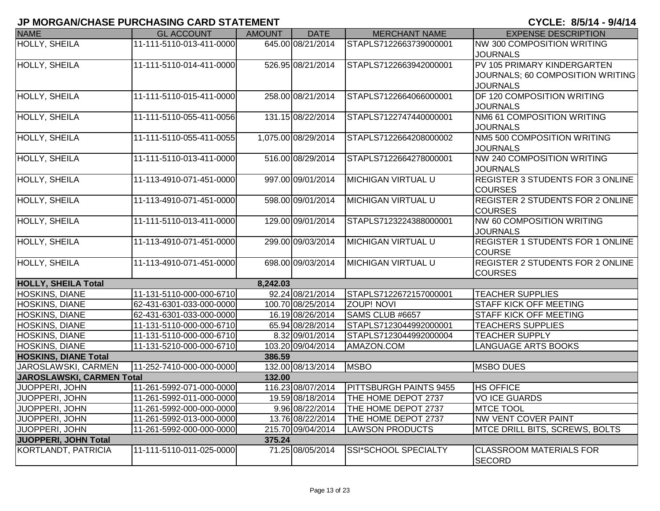| <b>NAME</b>                      | <b>GL ACCOUNT</b>        | <b>AMOUNT</b> | <b>DATE</b>         | <b>MERCHANT NAME</b>          | <b>EXPENSE DESCRIPTION</b>              |
|----------------------------------|--------------------------|---------------|---------------------|-------------------------------|-----------------------------------------|
| <b>HOLLY, SHEILA</b>             | 11-111-5110-013-411-0000 |               | 645.00 08/21/2014   | STAPLS7122663739000001        | <b>NW 300 COMPOSITION WRITING</b>       |
|                                  |                          |               |                     |                               | <b>JOURNALS</b>                         |
| HOLLY, SHEILA                    | 11-111-5110-014-411-0000 |               | 526.95 08/21/2014   | STAPLS7122663942000001        | PV 105 PRIMARY KINDERGARTEN             |
|                                  |                          |               |                     |                               | JOURNALS; 60 COMPOSITION WRITING        |
|                                  |                          |               |                     |                               | <b>JOURNALS</b>                         |
| HOLLY, SHEILA                    | 11-111-5110-015-411-0000 |               | 258.00 08/21/2014   | STAPLS7122664066000001        | DF 120 COMPOSITION WRITING              |
|                                  |                          |               |                     |                               | <b>JOURNALS</b>                         |
| HOLLY, SHEILA                    | 11-111-5110-055-411-0056 |               | 131.15 08/22/2014   | STAPLS7122747440000001        | NM6 61 COMPOSITION WRITING              |
|                                  |                          |               |                     |                               | <b>JOURNALS</b>                         |
| HOLLY, SHEILA                    | 11-111-5110-055-411-0055 |               | 1,075.00 08/29/2014 | STAPLS7122664208000002        | NM5 500 COMPOSITION WRITING             |
|                                  |                          |               |                     |                               | <b>JOURNALS</b>                         |
| <b>HOLLY, SHEILA</b>             | 11-111-5110-013-411-0000 |               | 516.00 08/29/2014   | STAPLS7122664278000001        | <b>NW 240 COMPOSITION WRITING</b>       |
|                                  |                          |               |                     |                               | <b>JOURNALS</b>                         |
| HOLLY, SHEILA                    | 11-113-4910-071-451-0000 |               | 997.00 09/01/2014   | <b>MICHIGAN VIRTUAL U</b>     | REGISTER 3 STUDENTS FOR 3 ONLINE        |
|                                  |                          |               |                     |                               | <b>COURSES</b>                          |
| HOLLY, SHEILA                    | 11-113-4910-071-451-0000 |               | 598.00 09/01/2014   | <b>MICHIGAN VIRTUAL U</b>     | <b>REGISTER 2 STUDENTS FOR 2 ONLINE</b> |
|                                  |                          |               |                     |                               | <b>COURSES</b>                          |
| HOLLY, SHEILA                    | 11-111-5110-013-411-0000 |               | 129.00 09/01/2014   | STAPLS7123224388000001        | <b>NW 60 COMPOSITION WRITING</b>        |
|                                  |                          |               |                     |                               | <b>JOURNALS</b>                         |
| HOLLY, SHEILA                    | 11-113-4910-071-451-0000 |               | 299.00 09/03/2014   | <b>MICHIGAN VIRTUAL U</b>     | <b>REGISTER 1 STUDENTS FOR 1 ONLINE</b> |
|                                  |                          |               |                     |                               | <b>COURSE</b>                           |
| <b>HOLLY, SHEILA</b>             | 11-113-4910-071-451-0000 |               | 698.00 09/03/2014   | <b>MICHIGAN VIRTUAL U</b>     | <b>REGISTER 2 STUDENTS FOR 2 ONLINE</b> |
|                                  |                          |               |                     |                               | <b>COURSES</b>                          |
| <b>HOLLY, SHEILA Total</b>       |                          | 8,242.03      |                     |                               |                                         |
| HOSKINS, DIANE                   | 11-131-5110-000-000-6710 |               | 92.24 08/21/2014    | STAPLS7122672157000001        | <b>TEACHER SUPPLIES</b>                 |
| HOSKINS, DIANE                   | 62-431-6301-033-000-0000 |               | 100.70 08/25/2014   | <b>ZOUP! NOVI</b>             | <b>STAFF KICK OFF MEETING</b>           |
| HOSKINS, DIANE                   | 62-431-6301-033-000-0000 |               | 16.19 08/26/2014    | SAMS CLUB #6657               | <b>STAFF KICK OFF MEETING</b>           |
| HOSKINS, DIANE                   | 11-131-5110-000-000-6710 |               | 65.94 08/28/2014    | STAPLS7123044992000001        | <b>TEACHERS SUPPLIES</b>                |
| HOSKINS, DIANE                   | 11-131-5110-000-000-6710 |               | 8.32 09/01/2014     | STAPLS7123044992000004        | <b>TEACHER SUPPLY</b>                   |
| HOSKINS, DIANE                   | 11-131-5210-000-000-6710 |               | 103.20 09/04/2014   | AMAZON.COM                    | <b>LANGUAGE ARTS BOOKS</b>              |
| <b>HOSKINS, DIANE Total</b>      |                          | 386.59        |                     |                               |                                         |
| JAROSLAWSKI, CARMEN              | 11-252-7410-000-000-0000 |               | 132.00 08/13/2014   | <b>MSBO</b>                   | <b>MSBO DUES</b>                        |
| <b>JAROSLAWSKI, CARMEN Total</b> |                          | 132.00        |                     |                               |                                         |
| JUOPPERI, JOHN                   | 11-261-5992-071-000-0000 |               | 116.23 08/07/2014   | <b>PITTSBURGH PAINTS 9455</b> | <b>HS OFFICE</b>                        |
| <b>JUOPPERI, JOHN</b>            | 11-261-5992-011-000-0000 |               | 19.59 08/18/2014    | <b>ITHE HOME DEPOT 2737</b>   | <b>VO ICE GUARDS</b>                    |
| JUOPPERI, JOHN                   | 11-261-5992-000-000-0000 |               | 9.96 08/22/2014     | THE HOME DEPOT 2737           | <b>MTCE TOOL</b>                        |
| <b>JUOPPERI, JOHN</b>            | 11-261-5992-013-000-0000 |               | 13.76 08/22/2014    | THE HOME DEPOT 2737           | <b>NW VENT COVER PAINT</b>              |
| JUOPPERI, JOHN                   | 11-261-5992-000-000-0000 |               | 215.70 09/04/2014   | <b>LAWSON PRODUCTS</b>        | MTCE DRILL BITS, SCREWS, BOLTS          |
| JUOPPERI, JOHN Total             |                          | 375.24        |                     |                               |                                         |
| <b>KORTLANDT, PATRICIA</b>       | 11-111-5110-011-025-0000 |               | 71.25 08/05/2014    | SSI*SCHOOL SPECIALTY          | <b>CLASSROOM MATERIALS FOR</b>          |
|                                  |                          |               |                     |                               | <b>SECORD</b>                           |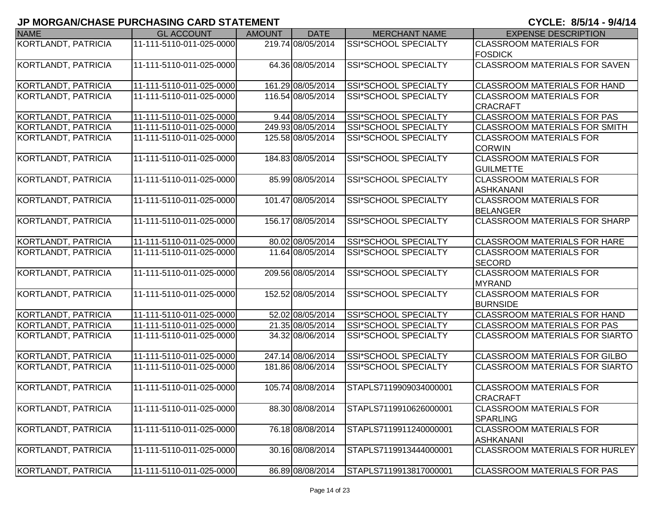| <b>NAME</b>                | <b>GL ACCOUNT</b>        | <b>AMOUNT</b> | <b>DATE</b>       | <b>MERCHANT NAME</b>        | <b>EXPENSE DESCRIPTION</b>                        |
|----------------------------|--------------------------|---------------|-------------------|-----------------------------|---------------------------------------------------|
| <b>KORTLANDT, PATRICIA</b> | 11-111-5110-011-025-0000 |               | 219.74 08/05/2014 | SSI*SCHOOL SPECIALTY        | <b>CLASSROOM MATERIALS FOR</b>                    |
|                            |                          |               |                   |                             | <b>FOSDICK</b>                                    |
| KORTLANDT, PATRICIA        | 11-111-5110-011-025-0000 |               | 64.36 08/05/2014  | SSI*SCHOOL SPECIALTY        | <b>CLASSROOM MATERIALS FOR SAVEN</b>              |
|                            |                          |               |                   |                             |                                                   |
| KORTLANDT, PATRICIA        | 11-111-5110-011-025-0000 |               | 161.29 08/05/2014 | SSI*SCHOOL SPECIALTY        | <b>CLASSROOM MATERIALS FOR HAND</b>               |
| KORTLANDT, PATRICIA        | 11-111-5110-011-025-0000 |               | 116.54 08/05/2014 | SSI*SCHOOL SPECIALTY        | <b>CLASSROOM MATERIALS FOR</b>                    |
|                            |                          |               |                   |                             | <b>CRACRAFT</b>                                   |
| <b>KORTLANDT, PATRICIA</b> | 11-111-5110-011-025-0000 |               | 9.44 08/05/2014   | <b>SSI*SCHOOL SPECIALTY</b> | <b>CLASSROOM MATERIALS FOR PAS</b>                |
| KORTLANDT, PATRICIA        | 11-111-5110-011-025-0000 |               | 249.93 08/05/2014 | <b>SSI*SCHOOL SPECIALTY</b> | <b>CLASSROOM MATERIALS FOR SMITH</b>              |
| KORTLANDT, PATRICIA        | 11-111-5110-011-025-0000 |               | 125.58 08/05/2014 | SSI*SCHOOL SPECIALTY        | <b>CLASSROOM MATERIALS FOR</b><br><b>CORWIN</b>   |
| KORTLANDT, PATRICIA        | 11-111-5110-011-025-0000 |               | 184.83 08/05/2014 | SSI*SCHOOL SPECIALTY        | <b>CLASSROOM MATERIALS FOR</b>                    |
|                            |                          |               |                   |                             | <b>GUILMETTE</b>                                  |
| KORTLANDT, PATRICIA        | 11-111-5110-011-025-0000 |               | 85.99 08/05/2014  | SSI*SCHOOL SPECIALTY        | <b>CLASSROOM MATERIALS FOR</b>                    |
|                            |                          |               |                   |                             | <b>ASHKANANI</b>                                  |
| KORTLANDT, PATRICIA        | 11-111-5110-011-025-0000 |               | 101.47 08/05/2014 | SSI*SCHOOL SPECIALTY        | <b>CLASSROOM MATERIALS FOR</b>                    |
|                            |                          |               |                   |                             | <b>BELANGER</b>                                   |
| KORTLANDT, PATRICIA        | 11-111-5110-011-025-0000 |               | 156.17 08/05/2014 | SSI*SCHOOL SPECIALTY        | <b>CLASSROOM MATERIALS FOR SHARP</b>              |
| KORTLANDT, PATRICIA        | 11-111-5110-011-025-0000 |               | 80.02 08/05/2014  | SSI*SCHOOL SPECIALTY        | <b>CLASSROOM MATERIALS FOR HARE</b>               |
| KORTLANDT, PATRICIA        | 11-111-5110-011-025-0000 |               | 11.64 08/05/2014  | SSI*SCHOOL SPECIALTY        | <b>CLASSROOM MATERIALS FOR</b>                    |
|                            |                          |               |                   |                             | <b>SECORD</b>                                     |
| KORTLANDT, PATRICIA        | 11-111-5110-011-025-0000 |               | 209.56 08/05/2014 | SSI*SCHOOL SPECIALTY        | <b>CLASSROOM MATERIALS FOR</b>                    |
|                            |                          |               |                   |                             | <b>MYRAND</b>                                     |
| KORTLANDT, PATRICIA        | 11-111-5110-011-025-0000 |               | 152.52 08/05/2014 | <b>SSI*SCHOOL SPECIALTY</b> | <b>CLASSROOM MATERIALS FOR</b>                    |
|                            |                          |               |                   |                             | <b>BURNSIDE</b>                                   |
| KORTLANDT, PATRICIA        | 11-111-5110-011-025-0000 |               | 52.02 08/05/2014  | SSI*SCHOOL SPECIALTY        | <b>CLASSROOM MATERIALS FOR HAND</b>               |
| KORTLANDT, PATRICIA        | 11-111-5110-011-025-0000 |               | 21.35 08/05/2014  | SSI*SCHOOL SPECIALTY        | <b>CLASSROOM MATERIALS FOR PAS</b>                |
| KORTLANDT, PATRICIA        | 11-111-5110-011-025-0000 |               | 34.32 08/06/2014  | SSI*SCHOOL SPECIALTY        | <b>CLASSROOM MATERIALS FOR SIARTO</b>             |
| KORTLANDT, PATRICIA        | 11-111-5110-011-025-0000 |               | 247.14 08/06/2014 | SSI*SCHOOL SPECIALTY        | CLASSROOM MATERIALS FOR GILBO                     |
| KORTLANDT, PATRICIA        | 11-111-5110-011-025-0000 |               | 181.86 08/06/2014 | <b>SSI*SCHOOL SPECIALTY</b> | <b>CLASSROOM MATERIALS FOR SIARTO</b>             |
|                            |                          |               |                   |                             |                                                   |
| KORTLANDT, PATRICIA        | 11-111-5110-011-025-0000 |               | 105.74 08/08/2014 | STAPLS7119909034000001      | <b>CLASSROOM MATERIALS FOR</b>                    |
|                            |                          |               |                   |                             | <b>CRACRAFT</b>                                   |
| KORTLANDT, PATRICIA        | 11-111-5110-011-025-0000 |               | 88.30 08/08/2014  | STAPLS7119910626000001      | <b>CLASSROOM MATERIALS FOR</b><br><b>SPARLING</b> |
| KORTLANDT, PATRICIA        | 11-111-5110-011-025-0000 |               | 76.18 08/08/2014  | STAPLS7119911240000001      | <b>CLASSROOM MATERIALS FOR</b>                    |
|                            |                          |               |                   |                             | <b>ASHKANANI</b>                                  |
| KORTLANDT, PATRICIA        | 11-111-5110-011-025-0000 |               | 30.16 08/08/2014  | STAPLS7119913444000001      | <b>CLASSROOM MATERIALS FOR HURLEY</b>             |
|                            |                          |               |                   |                             |                                                   |
| KORTLANDT, PATRICIA        | 11-111-5110-011-025-0000 |               | 86.89 08/08/2014  | STAPLS7119913817000001      | <b>CLASSROOM MATERIALS FOR PAS</b>                |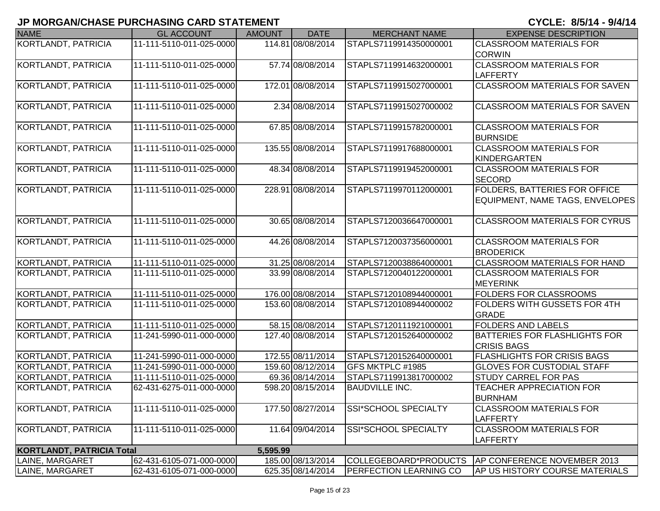| <b>NAME</b>                      | <b>GL ACCOUNT</b>        | <b>AMOUNT</b> | <b>DATE</b>       | <b>MERCHANT NAME</b>          | <b>EXPENSE DESCRIPTION</b>            |
|----------------------------------|--------------------------|---------------|-------------------|-------------------------------|---------------------------------------|
| KORTLANDT, PATRICIA              | 11-111-5110-011-025-0000 |               | 114.81 08/08/2014 | STAPLS7119914350000001        | <b>CLASSROOM MATERIALS FOR</b>        |
|                                  |                          |               |                   |                               | <b>CORWIN</b>                         |
| KORTLANDT, PATRICIA              | 11-111-5110-011-025-0000 |               | 57.74 08/08/2014  | STAPLS7119914632000001        | <b>CLASSROOM MATERIALS FOR</b>        |
|                                  |                          |               |                   |                               | LAFFERTY                              |
| KORTLANDT, PATRICIA              | 11-111-5110-011-025-0000 |               | 172.01 08/08/2014 | STAPLS7119915027000001        | <b>ICLASSROOM MATERIALS FOR SAVEN</b> |
|                                  |                          |               |                   |                               |                                       |
| KORTLANDT, PATRICIA              | 11-111-5110-011-025-0000 |               | 2.34 08/08/2014   | STAPLS7119915027000002        | <b>CLASSROOM MATERIALS FOR SAVEN</b>  |
|                                  |                          |               |                   |                               |                                       |
| <b>KORTLANDT, PATRICIA</b>       | 11-111-5110-011-025-0000 |               | 67.85 08/08/2014  | STAPLS7119915782000001        | <b>CLASSROOM MATERIALS FOR</b>        |
|                                  |                          |               |                   |                               | <b>BURNSIDE</b>                       |
| KORTLANDT, PATRICIA              | 11-111-5110-011-025-0000 |               | 135.55 08/08/2014 | STAPLS7119917688000001        | <b>CLASSROOM MATERIALS FOR</b>        |
|                                  |                          |               |                   |                               | KINDERGARTEN                          |
| KORTLANDT, PATRICIA              | 11-111-5110-011-025-0000 |               | 48.34 08/08/2014  | STAPLS7119919452000001        | <b>CLASSROOM MATERIALS FOR</b>        |
|                                  |                          |               |                   |                               | <b>SECORD</b>                         |
| KORTLANDT, PATRICIA              | 11-111-5110-011-025-0000 |               | 228.91 08/08/2014 | STAPLS7119970112000001        | <b>FOLDERS, BATTERIES FOR OFFICE</b>  |
|                                  |                          |               |                   |                               | EQUIPMENT, NAME TAGS, ENVELOPES       |
|                                  |                          |               |                   |                               | <b>CLASSROOM MATERIALS FOR CYRUS</b>  |
| KORTLANDT, PATRICIA              | 11-111-5110-011-025-0000 |               | 30.65 08/08/2014  | STAPLS7120036647000001        |                                       |
| KORTLANDT, PATRICIA              | 11-111-5110-011-025-0000 |               | 44.26 08/08/2014  | STAPLS7120037356000001        | <b>CLASSROOM MATERIALS FOR</b>        |
|                                  |                          |               |                   |                               | <b>BRODERICK</b>                      |
| KORTLANDT, PATRICIA              | 11-111-5110-011-025-0000 |               | 31.25 08/08/2014  | STAPLS7120038864000001        | <b>CLASSROOM MATERIALS FOR HAND</b>   |
| KORTLANDT, PATRICIA              | 11-111-5110-011-025-0000 |               | 33.99 08/08/2014  | STAPLS7120040122000001        | <b>CLASSROOM MATERIALS FOR</b>        |
|                                  |                          |               |                   |                               | <b>MEYERINK</b>                       |
| KORTLANDT, PATRICIA              | 11-111-5110-011-025-0000 |               | 176.00 08/08/2014 | STAPLS7120108944000001        | <b>FOLDERS FOR CLASSROOMS</b>         |
| KORTLANDT, PATRICIA              | 11-111-5110-011-025-0000 |               | 153.60 08/08/2014 | STAPLS7120108944000002        | <b>FOLDERS WITH GUSSETS FOR 4TH</b>   |
|                                  |                          |               |                   |                               | <b>GRADE</b>                          |
| KORTLANDT, PATRICIA              | 11-111-5110-011-025-0000 |               | 58.15 08/08/2014  | STAPLS7120111921000001        | <b>FOLDERS AND LABELS</b>             |
| KORTLANDT, PATRICIA              | 11-241-5990-011-000-0000 |               | 127.40 08/08/2014 | STAPLS7120152640000002        | <b>BATTERIES FOR FLASHLIGHTS FOR</b>  |
|                                  |                          |               |                   |                               | <b>CRISIS BAGS</b>                    |
| KORTLANDT, PATRICIA              | 11-241-5990-011-000-0000 |               | 172.55 08/11/2014 | STAPLS7120152640000001        | <b>FLASHLIGHTS FOR CRISIS BAGS</b>    |
| KORTLANDT, PATRICIA              | 11-241-5990-011-000-0000 |               | 159.60 08/12/2014 | GFS MKTPLC #1985              | <b>GLOVES FOR CUSTODIAL STAFF</b>     |
| KORTLANDT, PATRICIA              | 11-111-5110-011-025-0000 |               | 69.36 08/14/2014  | STAPLS7119913817000002        | <b>STUDY CARREL FOR PAS</b>           |
| KORTLANDT, PATRICIA              | 62-431-6275-011-000-0000 |               | 598.20 08/15/2014 | <b>BAUDVILLE INC.</b>         | <b>TEACHER APPRECIATION FOR</b>       |
|                                  |                          |               |                   |                               | <b>BURNHAM</b>                        |
| KORTLANDT, PATRICIA              | 11-111-5110-011-025-0000 |               | 177.50 08/27/2014 | SSI*SCHOOL SPECIALTY          | <b>CLASSROOM MATERIALS FOR</b>        |
|                                  |                          |               |                   |                               | LAFFERTY                              |
| KORTLANDT, PATRICIA              | 11-111-5110-011-025-0000 |               | 11.64 09/04/2014  | SSI*SCHOOL SPECIALTY          | <b>CLASSROOM MATERIALS FOR</b>        |
|                                  |                          |               |                   |                               | <b>LAFFERTY</b>                       |
| <b>KORTLANDT, PATRICIA Total</b> |                          | 5,595.99      |                   |                               |                                       |
| LAINE, MARGARET                  | 62-431-6105-071-000-0000 |               | 185.00 08/13/2014 | COLLEGEBOARD*PRODUCTS         | AP CONFERENCE NOVEMBER 2013           |
| LAINE, MARGARET                  | 62-431-6105-071-000-0000 |               | 625.35 08/14/2014 | <b>PERFECTION LEARNING CO</b> | AP US HISTORY COURSE MATERIALS        |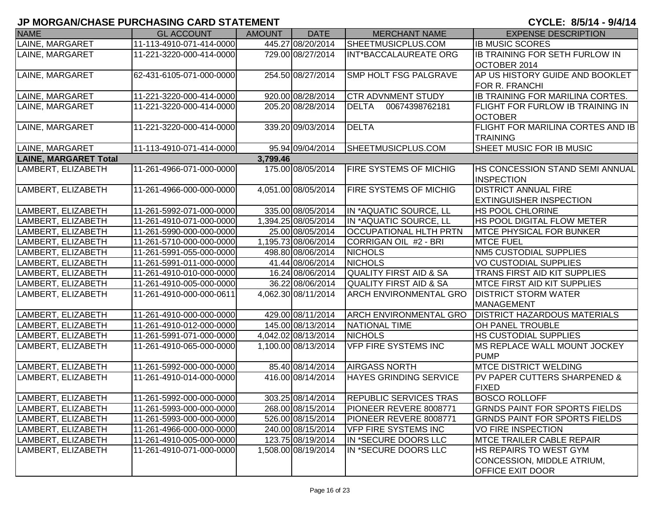| <b>NAME</b>                  | <b>GL ACCOUNT</b>        | <b>AMOUNT</b> | <b>DATE</b>         | <b>MERCHANT NAME</b>              | <b>EXPENSE DESCRIPTION</b>                                                             |
|------------------------------|--------------------------|---------------|---------------------|-----------------------------------|----------------------------------------------------------------------------------------|
| LAINE, MARGARET              | 11-113-4910-071-414-0000 |               | 445.27 08/20/2014   | SHEETMUSICPLUS.COM                | <b>IB MUSIC SCORES</b>                                                                 |
| LAINE, MARGARET              | 11-221-3220-000-414-0000 |               | 729.00 08/27/2014   | INT*BACCALAUREATE ORG             | <b>IB TRAINING FOR SETH FURLOW IN</b><br>OCTOBER 2014                                  |
| LAINE, MARGARET              | 62-431-6105-071-000-0000 |               | 254.50 08/27/2014   | <b>SMP HOLT FSG PALGRAVE</b>      | AP US HISTORY GUIDE AND BOOKLET<br><b>FOR R. FRANCHI</b>                               |
| LAINE, MARGARET              | 11-221-3220-000-414-0000 |               | 920.00 08/28/2014   | <b>CTR ADVNMENT STUDY</b>         | IB TRAINING FOR MARILINA CORTES.                                                       |
| LAINE, MARGARET              | 11-221-3220-000-414-0000 |               | 205.20 08/28/2014   | 00674398762181<br>DELTA           | FLIGHT FOR FURLOW IB TRAINING IN<br><b>OCTOBER</b>                                     |
| LAINE, MARGARET              | 11-221-3220-000-414-0000 |               | 339.20 09/03/2014   | <b>DELTA</b>                      | FLIGHT FOR MARILINA CORTES AND IB<br><b>TRAINING</b>                                   |
| LAINE, MARGARET              | 11-113-4910-071-414-0000 |               | 95.94 09/04/2014    | SHEETMUSICPLUS.COM                | SHEET MUSIC FOR IB MUSIC                                                               |
| <b>LAINE, MARGARET Total</b> |                          | 3,799.46      |                     |                                   |                                                                                        |
| LAMBERT, ELIZABETH           | 11-261-4966-071-000-0000 |               | 175.00 08/05/2014   | <b>FIRE SYSTEMS OF MICHIG</b>     | <b>HS CONCESSION STAND SEMI ANNUAL</b><br><b>INSPECTION</b>                            |
| LAMBERT, ELIZABETH           | 11-261-4966-000-000-0000 |               | 4,051.00 08/05/2014 | FIRE SYSTEMS OF MICHIG            | <b>DISTRICT ANNUAL FIRE</b><br><b>EXTINGUISHER INSPECTION</b>                          |
| LAMBERT, ELIZABETH           | 11-261-5992-071-000-0000 |               | 335.00 08/05/2014   | IN *AQUATIC SOURCE, LL            | <b>HS POOL CHLORINE</b>                                                                |
| LAMBERT, ELIZABETH           | 11-261-4910-071-000-0000 |               | 1,394.25 08/05/2014 | IN *AQUATIC SOURCE, LL            | HS POOL DIGITAL FLOW METER                                                             |
| LAMBERT, ELIZABETH           | 11-261-5990-000-000-0000 |               | 25.00 08/05/2014    | <b>OCCUPATIONAL HLTH PRTN</b>     | <b>MTCE PHYSICAL FOR BUNKER</b>                                                        |
| LAMBERT, ELIZABETH           | 11-261-5710-000-000-0000 |               | 1,195.73 08/06/2014 | CORRIGAN OIL #2 - BRI             | <b>MTCE FUEL</b>                                                                       |
| LAMBERT, ELIZABETH           | 11-261-5991-055-000-0000 |               | 498.80 08/06/2014   | <b>NICHOLS</b>                    | <b>NM5 CUSTODIAL SUPPLIES</b>                                                          |
| LAMBERT, ELIZABETH           | 11-261-5991-011-000-0000 |               | 41.44 08/06/2014    | <b>NICHOLS</b>                    | <b>VO CUSTODIAL SUPPLIES</b>                                                           |
| LAMBERT, ELIZABETH           | 11-261-4910-010-000-0000 |               | 16.24 08/06/2014    | <b>QUALITY FIRST AID &amp; SA</b> | TRANS FIRST AID KIT SUPPLIES                                                           |
| LAMBERT, ELIZABETH           | 11-261-4910-005-000-0000 |               | 36.22 08/06/2014    | <b>QUALITY FIRST AID &amp; SA</b> | <b>MTCE FIRST AID KIT SUPPLIES</b>                                                     |
| LAMBERT, ELIZABETH           | 11-261-4910-000-000-0611 |               | 4,062.30 08/11/2014 | <b>ARCH ENVIRONMENTAL GRO</b>     | <b>DISTRICT STORM WATER</b><br><b>MANAGEMENT</b>                                       |
| LAMBERT, ELIZABETH           | 11-261-4910-000-000-0000 |               | 429.00 08/11/2014   | ARCH ENVIRONMENTAL GRO            | <b>DISTRICT HAZARDOUS MATERIALS</b>                                                    |
| LAMBERT, ELIZABETH           | 11-261-4910-012-000-0000 |               | 145.00 08/13/2014   | NATIONAL TIME                     | OH PANEL TROUBLE                                                                       |
| LAMBERT, ELIZABETH           | 11-261-5991-071-000-0000 |               | 4,042.02 08/13/2014 | <b>NICHOLS</b>                    | <b>HS CUSTODIAL SUPPLIES</b>                                                           |
| LAMBERT, ELIZABETH           | 11-261-4910-065-000-0000 |               | 1,100.00 08/13/2014 | <b>VFP FIRE SYSTEMS INC</b>       | MS REPLACE WALL MOUNT JOCKEY<br><b>PUMP</b>                                            |
| LAMBERT, ELIZABETH           | 11-261-5992-000-000-0000 |               | 85.40 08/14/2014    | <b>AIRGASS NORTH</b>              | <b>MTCE DISTRICT WELDING</b>                                                           |
| LAMBERT, ELIZABETH           | 11-261-4910-014-000-0000 |               | 416.00 08/14/2014   | <b>HAYES GRINDING SERVICE</b>     | <b>PV PAPER CUTTERS SHARPENED &amp;</b><br><b>FIXED</b>                                |
| ILAMBERT, ELIZABETH          | 11-261-5992-000-000-0000 |               | 303.25 08/14/2014   | <b>IREPUBLIC SERVICES TRAS</b>    | <b>BOSCO ROLLOFF</b>                                                                   |
| LAMBERT, ELIZABETH           | 11-261-5993-000-000-0000 |               | 268.00 08/15/2014   | PIONEER REVERE 8008771            | <b>GRNDS PAINT FOR SPORTS FIELDS</b>                                                   |
| LAMBERT, ELIZABETH           | 11-261-5993-000-000-0000 |               | 526.00 08/15/2014   | PIONEER REVERE 8008771            | <b>GRNDS PAINT FOR SPORTS FIELDS</b>                                                   |
| LAMBERT, ELIZABETH           | 11-261-4966-000-000-0000 |               | 240.00 08/15/2014   | <b>VFP FIRE SYSTEMS INC</b>       | <b>VO FIRE INSPECTION</b>                                                              |
| LAMBERT, ELIZABETH           | 11-261-4910-005-000-0000 |               | 123.75 08/19/2014   | IN *SECURE DOORS LLC              | <b>MTCE TRAILER CABLE REPAIR</b>                                                       |
| LAMBERT, ELIZABETH           | 11-261-4910-071-000-0000 |               | 1,508.00 08/19/2014 | IN *SECURE DOORS LLC              | <b>HS REPAIRS TO WEST GYM</b><br>CONCESSION, MIDDLE ATRIUM,<br><b>OFFICE EXIT DOOR</b> |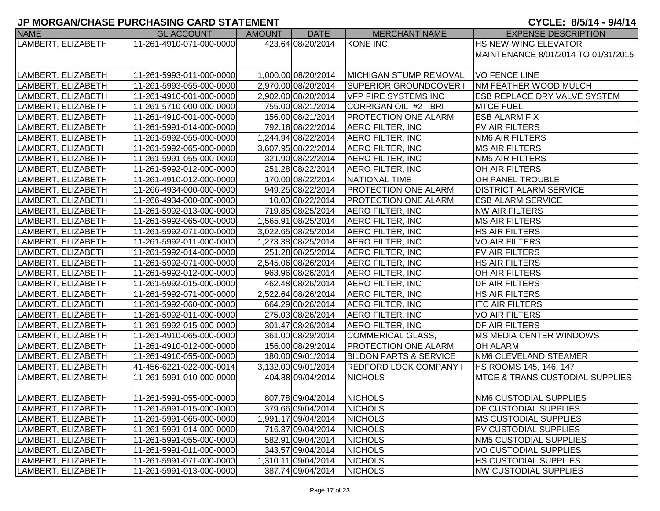| <b>NAME</b>        | <b>GL ACCOUNT</b>        | AMOUNT | DATE                | <b>MERCHANT NAME</b>              | <b>EXPENSE DESCRIPTION</b>          |
|--------------------|--------------------------|--------|---------------------|-----------------------------------|-------------------------------------|
| LAMBERT, ELIZABETH | 11-261-4910-071-000-0000 |        | 423.64 08/20/2014   | KONE INC.                         | <b>HS NEW WING ELEVATOR</b>         |
|                    |                          |        |                     |                                   | MAINTENANCE 8/01/2014 TO 01/31/2015 |
|                    |                          |        |                     |                                   |                                     |
| LAMBERT, ELIZABETH | 11-261-5993-011-000-0000 |        | 1,000.00 08/20/2014 | MICHIGAN STUMP REMOVAL            | <b>VO FENCE LINE</b>                |
| LAMBERT, ELIZABETH | 11-261-5993-055-000-0000 |        | 2,970.00 08/20/2014 | <b>SUPERIOR GROUNDCOVER I</b>     | <b>NM FEATHER WOOD MULCH</b>        |
| LAMBERT, ELIZABETH | 11-261-4910-001-000-0000 |        | 2,902.00 08/20/2014 | <b>VFP FIRE SYSTEMS INC</b>       | <b>ESB REPLACE DRY VALVE SYSTEM</b> |
| LAMBERT, ELIZABETH | 11-261-5710-000-000-0000 |        | 755.00 08/21/2014   | CORRIGAN OIL #2 - BRI             | <b>MTCE FUEL</b>                    |
| LAMBERT, ELIZABETH | 11-261-4910-001-000-0000 |        | 156.00 08/21/2014   | <b>PROTECTION ONE ALARM</b>       | <b>ESB ALARM FIX</b>                |
| LAMBERT, ELIZABETH | 11-261-5991-014-000-0000 |        | 792.18 08/22/2014   | <b>AERO FILTER, INC</b>           | PV AIR FILTERS                      |
| LAMBERT, ELIZABETH | 11-261-5992-055-000-0000 |        | 1,244.94 08/22/2014 | <b>AERO FILTER, INC</b>           | <b>NM6 AIR FILTERS</b>              |
| LAMBERT, ELIZABETH | 11-261-5992-065-000-0000 |        | 3,607.95 08/22/2014 | <b>AERO FILTER, INC</b>           | <b>MS AIR FILTERS</b>               |
| LAMBERT, ELIZABETH | 11-261-5991-055-000-0000 |        | 321.90 08/22/2014   | <b>AERO FILTER, INC</b>           | <b>NM5 AIR FILTERS</b>              |
| LAMBERT, ELIZABETH | 11-261-5992-012-000-0000 |        | 251.28 08/22/2014   | <b>AERO FILTER, INC</b>           | OH AIR FILTERS                      |
| LAMBERT, ELIZABETH | 11-261-4910-012-000-0000 |        | 170.00 08/22/2014   | NATIONAL TIME                     | <b>OH PANEL TROUBLE</b>             |
| LAMBERT, ELIZABETH | 11-266-4934-000-000-0000 |        | 949.25 08/22/2014   | <b>PROTECTION ONE ALARM</b>       | <b>DISTRICT ALARM SERVICE</b>       |
| LAMBERT, ELIZABETH | 11-266-4934-000-000-0000 |        | 10.00 08/22/2014    | <b>PROTECTION ONE ALARM</b>       | <b>ESB ALARM SERVICE</b>            |
| LAMBERT, ELIZABETH | 11-261-5992-013-000-0000 |        | 719.85 08/25/2014   | <b>AERO FILTER, INC</b>           | NW AIR FILTERS                      |
| LAMBERT, ELIZABETH | 11-261-5992-065-000-0000 |        | 1,565.91 08/25/2014 | <b>AERO FILTER, INC</b>           | <b>MS AIR FILTERS</b>               |
| LAMBERT, ELIZABETH | 11-261-5992-071-000-0000 |        | 3,022.65 08/25/2014 | <b>AERO FILTER, INC</b>           | <b>HS AIR FILTERS</b>               |
| LAMBERT, ELIZABETH | 11-261-5992-011-000-0000 |        | 1,273.38 08/25/2014 | <b>AERO FILTER, INC</b>           | <b>VO AIR FILTERS</b>               |
| LAMBERT, ELIZABETH | 11-261-5992-014-000-0000 |        | 251.28 08/25/2014   | <b>AERO FILTER, INC</b>           | PV AIR FILTERS                      |
| LAMBERT, ELIZABETH | 11-261-5992-071-000-0000 |        | 2,545.06 08/26/2014 | <b>AERO FILTER, INC</b>           | <b>HS AIR FILTERS</b>               |
| LAMBERT, ELIZABETH | 11-261-5992-012-000-0000 |        | 963.96 08/26/2014   | <b>AERO FILTER, INC</b>           | OH AIR FILTERS                      |
| LAMBERT, ELIZABETH | 11-261-5992-015-000-0000 |        | 462.48 08/26/2014   | <b>AERO FILTER, INC</b>           | <b>DF AIR FILTERS</b>               |
| LAMBERT, ELIZABETH | 11-261-5992-071-000-0000 |        | 2,522.64 08/26/2014 | <b>AERO FILTER, INC</b>           | <b>HS AIR FILTERS</b>               |
| LAMBERT, ELIZABETH | 11-261-5992-060-000-0000 |        | 664.29 08/26/2014   | <b>AERO FILTER, INC</b>           | <b>ITC AIR FILTERS</b>              |
| LAMBERT, ELIZABETH | 11-261-5992-011-000-0000 |        | 275.03 08/26/2014   | AERO FILTER, INC                  | <b>VO AIR FILTERS</b>               |
| LAMBERT, ELIZABETH | 11-261-5992-015-000-0000 |        | 301.47 08/26/2014   | <b>AERO FILTER, INC</b>           | <b>DF AIR FILTERS</b>               |
| LAMBERT, ELIZABETH | 11-261-4910-065-000-0000 |        | 361.00 08/29/2014   | COMMERICAL GLASS,                 | <b>MS MEDIA CENTER WINDOWS</b>      |
| LAMBERT, ELIZABETH | 11-261-4910-012-000-0000 |        | 156.00 08/29/2014   | <b>PROTECTION ONE ALARM</b>       | <b>OH ALARM</b>                     |
| LAMBERT, ELIZABETH | 11-261-4910-055-000-0000 |        | 180.00 09/01/2014   | <b>BILDON PARTS &amp; SERVICE</b> | NM6 CLEVELAND STEAMER               |
| LAMBERT, ELIZABETH | 41-456-6221-022-000-0014 |        | 3,132.00 09/01/2014 | <b>REDFORD LOCK COMPANY I</b>     | HS ROOMS 145, 146, 147              |
| LAMBERT, ELIZABETH | 11-261-5991-010-000-0000 |        | 404.88 09/04/2014   | <b>NICHOLS</b>                    | MTCE & TRANS CUSTODIAL SUPPLIES     |
|                    |                          |        |                     |                                   |                                     |
| LAMBERT, ELIZABETH | 11-261-5991-055-000-0000 |        | 807.78 09/04/2014   | <b>NICHOLS</b>                    | NM6 CUSTODIAL SUPPLIES              |
| LAMBERT, ELIZABETH | 11-261-5991-015-000-0000 |        | 379.66 09/04/2014   | <b>NICHOLS</b>                    | <b>DF CUSTODIAL SUPPLIES</b>        |
| LAMBERT, ELIZABETH | 11-261-5991-065-000-0000 |        | 1,991.17 09/04/2014 | <b>NICHOLS</b>                    | <b>IMS CUSTODIAL SUPPLIES</b>       |
| LAMBERT, ELIZABETH | 11-261-5991-014-000-0000 |        | 716.37 09/04/2014   | <b>NICHOLS</b>                    | PV CUSTODIAL SUPPLIES               |
| LAMBERT, ELIZABETH | 11-261-5991-055-000-0000 |        | 582.91 09/04/2014   | <b>NICHOLS</b>                    | NM5 CUSTODIAL SUPPLIES              |
| LAMBERT, ELIZABETH | 11-261-5991-011-000-0000 |        | 343.57 09/04/2014   | <b>NICHOLS</b>                    | <b>VO CUSTODIAL SUPPLIES</b>        |
| LAMBERT, ELIZABETH | 11-261-5991-071-000-0000 |        | 1,310.11 09/04/2014 | <b>NICHOLS</b>                    | <b>HS CUSTODIAL SUPPLIES</b>        |
| LAMBERT, ELIZABETH | 11-261-5991-013-000-0000 |        | 387.74 09/04/2014   | <b>NICHOLS</b>                    | <b>NW CUSTODIAL SUPPLIES</b>        |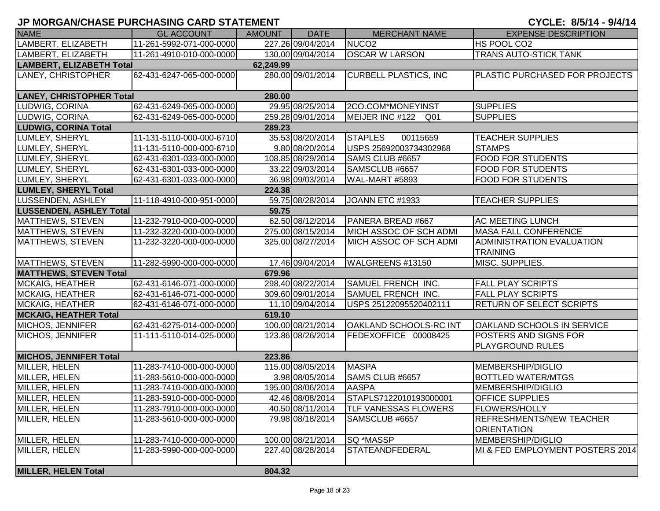| <b>NAME</b>                           | <b>GL ACCOUNT</b>        | AMOUNT    | <b>DATE</b>       | <b>MERCHANT NAME</b>          | <b>EXPENSE DESCRIPTION</b>                            |  |  |  |
|---------------------------------------|--------------------------|-----------|-------------------|-------------------------------|-------------------------------------------------------|--|--|--|
| LAMBERT, ELIZABETH                    | 11-261-5992-071-000-0000 |           | 227.26 09/04/2014 | NUCO <sub>2</sub>             | HS POOL CO2                                           |  |  |  |
| LAMBERT, ELIZABETH                    | 11-261-4910-010-000-0000 |           | 130.00 09/04/2014 | <b>OSCAR W LARSON</b>         | <b>TRANS AUTO-STICK TANK</b>                          |  |  |  |
| <b>LAMBERT, ELIZABETH Total</b>       |                          | 62,249.99 |                   |                               |                                                       |  |  |  |
| LANEY, CHRISTOPHER                    | 62-431-6247-065-000-0000 |           | 280.00 09/01/2014 | <b>CURBELL PLASTICS, INC.</b> | PLASTIC PURCHASED FOR PROJECTS                        |  |  |  |
| <b>LANEY, CHRISTOPHER Total</b>       |                          | 280.00    |                   |                               |                                                       |  |  |  |
| LUDWIG, CORINA                        | 62-431-6249-065-000-0000 |           | 29.95 08/25/2014  | 2CO.COM*MONEYINST             | <b>SUPPLIES</b>                                       |  |  |  |
| LUDWIG, CORINA                        | 62-431-6249-065-000-0000 |           | 259.28 09/01/2014 | MEIJER INC #122 Q01           | <b>SUPPLIES</b>                                       |  |  |  |
| <b>LUDWIG, CORINA Total</b><br>289.23 |                          |           |                   |                               |                                                       |  |  |  |
| LUMLEY, SHERYL                        | 11-131-5110-000-000-6710 |           | 35.53 08/20/2014  | <b>STAPLES</b><br>00115659    | <b>TEACHER SUPPLIES</b>                               |  |  |  |
| LUMLEY, SHERYL                        | 11-131-5110-000-000-6710 |           | 9.80 08/20/2014   | USPS 25692003734302968        | <b>STAMPS</b>                                         |  |  |  |
| LUMLEY, SHERYL                        | 62-431-6301-033-000-0000 |           | 108.85 08/29/2014 | SAMS CLUB #6657               | <b>FOOD FOR STUDENTS</b>                              |  |  |  |
| LUMLEY, SHERYL                        | 62-431-6301-033-000-0000 |           | 33.22 09/03/2014  | SAMSCLUB #6657                | <b>FOOD FOR STUDENTS</b>                              |  |  |  |
| LUMLEY, SHERYL                        | 62-431-6301-033-000-0000 |           | 36.98 09/03/2014  | WAL-MART #5893                | <b>FOOD FOR STUDENTS</b>                              |  |  |  |
| <b>LUMLEY, SHERYL Total</b>           |                          | 224.38    |                   |                               |                                                       |  |  |  |
| LUSSENDEN, ASHLEY                     | 11-118-4910-000-951-0000 |           | 59.75 08/28/2014  | JOANN ETC #1933               | <b>TEACHER SUPPLIES</b>                               |  |  |  |
| <b>LUSSENDEN, ASHLEY Total</b>        |                          | 59.75     |                   |                               |                                                       |  |  |  |
| MATTHEWS, STEVEN                      | 11-232-7910-000-000-0000 |           | 62.50 08/12/2014  | PANERA BREAD #667             | <b>AC MEETING LUNCH</b>                               |  |  |  |
| MATTHEWS, STEVEN                      | 11-232-3220-000-000-0000 |           | 275.00 08/15/2014 | MICH ASSOC OF SCH ADMI        | <b>MASA FALL CONFERENCE</b>                           |  |  |  |
| MATTHEWS, STEVEN                      | 11-232-3220-000-000-0000 |           | 325.00 08/27/2014 | MICH ASSOC OF SCH ADMI        | ADMINISTRATION EVALUATION<br><b>TRAINING</b>          |  |  |  |
| MATTHEWS, STEVEN                      | 11-282-5990-000-000-0000 |           | 17.46 09/04/2014  | WALGREENS #13150              | MISC. SUPPLIES.                                       |  |  |  |
| <b>MATTHEWS, STEVEN Total</b>         |                          | 679.96    |                   |                               |                                                       |  |  |  |
| <b>MCKAIG, HEATHER</b>                | 62-431-6146-071-000-0000 |           | 298.40 08/22/2014 | <b>SAMUEL FRENCH INC.</b>     | <b>FALL PLAY SCRIPTS</b>                              |  |  |  |
| <b>MCKAIG, HEATHER</b>                | 62-431-6146-071-000-0000 |           | 309.60 09/01/2014 | SAMUEL FRENCH INC.            | <b>FALL PLAY SCRIPTS</b>                              |  |  |  |
| <b>MCKAIG, HEATHER</b>                | 62-431-6146-071-000-0000 |           | 11.10 09/04/2014  | USPS 25122095520402111        | RETURN OF SELECT SCRIPTS                              |  |  |  |
| <b>MCKAIG, HEATHER Total</b>          |                          | 619.10    |                   |                               |                                                       |  |  |  |
| MICHOS, JENNIFER                      | 62-431-6275-014-000-0000 |           | 100.00 08/21/2014 | <b>OAKLAND SCHOOLS-RC INT</b> | OAKLAND SCHOOLS IN SERVICE                            |  |  |  |
| <b>MICHOS, JENNIFER</b>               | 11-111-5110-014-025-0000 |           | 123.86 08/26/2014 | FEDEXOFFICE 00008425          | POSTERS AND SIGNS FOR                                 |  |  |  |
|                                       |                          |           |                   |                               | <b>PLAYGROUND RULES</b>                               |  |  |  |
| <b>MICHOS, JENNIFER Total</b>         |                          | 223.86    |                   |                               |                                                       |  |  |  |
| MILLER, HELEN                         | 11-283-7410-000-000-0000 |           | 115.00 08/05/2014 | <b>MASPA</b>                  | MEMBERSHIP/DIGLIO                                     |  |  |  |
| MILLER, HELEN                         | 11-283-5610-000-000-0000 |           | 3.98 08/05/2014   | SAMS CLUB #6657               | <b>BOTTLED WATER/MTGS</b>                             |  |  |  |
| MILLER, HELEN                         | 11-283-7410-000-000-0000 |           | 195.00 08/06/2014 | <b>AASPA</b>                  | MEMBERSHIP/DIGLIO                                     |  |  |  |
| MILLER, HELEN                         | 11-283-5910-000-000-0000 |           | 42.46 08/08/2014  | STAPLS7122010193000001        | <b>OFFICE SUPPLIES</b>                                |  |  |  |
| MILLER, HELEN                         | 11-283-7910-000-000-0000 |           | 40.50 08/11/2014  | <b>TLF VANESSAS FLOWERS</b>   | <b>FLOWERS/HOLLY</b>                                  |  |  |  |
| MILLER, HELEN                         | 11-283-5610-000-000-0000 |           | 79.98 08/18/2014  | SAMSCLUB #6657                | <b>REFRESHMENTS/NEW TEACHER</b><br><b>ORIENTATION</b> |  |  |  |
| MILLER, HELEN                         | 11-283-7410-000-000-0000 |           | 100.00 08/21/2014 | <b>SQ *MASSP</b>              | MEMBERSHIP/DIGLIO                                     |  |  |  |
| MILLER, HELEN                         | 11-283-5990-000-000-0000 |           | 227.40 08/28/2014 | <b>STATEANDFEDERAL</b>        | MI & FED EMPLOYMENT POSTERS 2014                      |  |  |  |
| <b>MILLER, HELEN Total</b>            |                          | 804.32    |                   |                               |                                                       |  |  |  |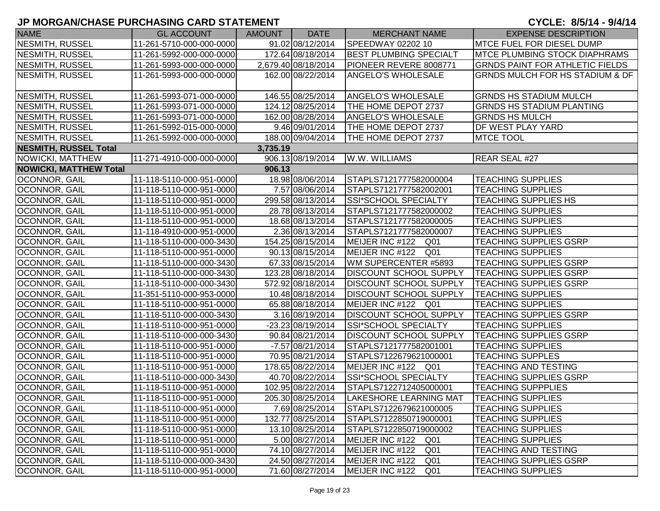## **JP MORGAN/CHASE PURCHASING CARD STATEMENT**

| <b>NAME</b>                   | <b>GL ACCOUNT</b>        | <b>AMOUNT</b> | <b>DATE</b>         | <b>MERCHANT NAME</b>               | <b>EXPENSE DESCRIPTION</b>             |
|-------------------------------|--------------------------|---------------|---------------------|------------------------------------|----------------------------------------|
| NESMITH, RUSSEL               | 11-261-5710-000-000-0000 |               | 91.02 08/12/2014    | SPEEDWAY 02202 10                  | <b>MTCE FUEL FOR DIESEL DUMP</b>       |
| NESMITH, RUSSEL               | 11-261-5992-000-000-0000 |               | 172.64 08/18/2014   | <b>BEST PLUMBING SPECIALT</b>      | <b>IMTCE PLUMBING STOCK DIAPHRAMS</b>  |
| NESMITH, RUSSEL               | 11-261-5993-000-000-0000 |               | 2,679.40 08/18/2014 | PIONEER REVERE 8008771             | <b>GRNDS PAINT FOR ATHLETIC FIELDS</b> |
| NESMITH, RUSSEL               | 11-261-5993-000-000-0000 |               | 162.00 08/22/2014   | <b>ANGELO'S WHOLESALE</b>          | GRNDS MULCH FOR HS STADIUM & DF        |
| NESMITH, RUSSEL               | 11-261-5993-071-000-0000 |               | 146.55 08/25/2014   | <b>ANGELO'S WHOLESALE</b>          | <b>GRNDS HS STADIUM MULCH</b>          |
| NESMITH, RUSSEL               | 11-261-5993-071-000-0000 |               | 124.12 08/25/2014   | THE HOME DEPOT 2737                | <b>GRNDS HS STADIUM PLANTING</b>       |
| NESMITH, RUSSEL               | 11-261-5993-071-000-0000 |               | 162.00 08/28/2014   | <b>ANGELO'S WHOLESALE</b>          | <b>GRNDS HS MULCH</b>                  |
| NESMITH, RUSSEL               | 11-261-5992-015-000-0000 |               | 9.46 09/01/2014     | THE HOME DEPOT 2737                | DF WEST PLAY YARD                      |
| NESMITH, RUSSEL               | 11-261-5992-000-000-0000 |               | 188.00 09/04/2014   | THE HOME DEPOT 2737                | <b>MTCE TOOL</b>                       |
| <b>NESMITH, RUSSEL Total</b>  |                          | 3,735.19      |                     |                                    |                                        |
| NOWICKI, MATTHEW              | 11-271-4910-000-000-0000 |               | 906.13 08/19/2014   | W.W. WILLIAMS                      | REAR SEAL #27                          |
| <b>NOWICKI, MATTHEW Total</b> |                          | 906.13        |                     |                                    |                                        |
| <b>OCONNOR, GAIL</b>          | 11-118-5110-000-951-0000 |               | 18.98 08/06/2014    | STAPLS7121777582000004             | <b>TEACHING SUPPLIES</b>               |
| OCONNOR, GAIL                 | 11-118-5110-000-951-0000 |               | 7.57 08/06/2014     | STAPLS7121777582002001             | <b>TEACHING SUPPLIES</b>               |
| <b>OCONNOR, GAIL</b>          | 11-118-5110-000-951-0000 |               | 299.58 08/13/2014   | SSI*SCHOOL SPECIALTY               | <b>TEACHING SUPPLIES HS</b>            |
| <b>OCONNOR, GAIL</b>          | 11-118-5110-000-951-0000 |               | 28.78 08/13/2014    | STAPLS7121777582000002             | <b>TEACHING SUPPLIES</b>               |
| <b>OCONNOR, GAIL</b>          | 11-118-5110-000-951-0000 |               | 18.68 08/13/2014    | STAPLS7121777582000005             | <b>TEACHING SUPPLIES</b>               |
| OCONNOR, GAIL                 | 11-118-4910-000-951-0000 |               | 2.36 08/13/2014     | STAPLS7121777582000007             | <b>TEACHING SUPPLIES</b>               |
| OCONNOR, GAIL                 | 11-118-5110-000-000-3430 |               | 154.25 08/15/2014   | MEIJER INC #122 Q01                | <b>TEACHING SUPPLIES GSRP</b>          |
| OCONNOR, GAIL                 | 11-118-5110-000-951-0000 |               | 90.13 08/15/2014    | MEIJER INC #122 Q01                | <b>TEACHING SUPPLIES</b>               |
| OCONNOR, GAIL                 | 11-118-5110-000-000-3430 |               | 67.33 08/15/2014    | WM SUPERCENTER #5893               | <b>TEACHING SUPPLIES GSRP</b>          |
| <b>OCONNOR, GAIL</b>          | 11-118-5110-000-000-3430 |               | 123.28 08/18/2014   | <b>DISCOUNT SCHOOL SUPPLY</b>      | <b>TEACHING SUPPLIES GSRP</b>          |
| <b>OCONNOR, GAIL</b>          | 11-118-5110-000-000-3430 |               | 572.92 08/18/2014   | <b>DISCOUNT SCHOOL SUPPLY</b>      | <b>TEACHING SUPPLIES GSRP</b>          |
| <b>OCONNOR, GAIL</b>          | 11-351-5110-000-953-0000 |               | 10.48 08/18/2014    | <b>DISCOUNT SCHOOL SUPPLY</b>      | <b>TEACHING SUPPLIES</b>               |
| OCONNOR, GAIL                 | 11-118-5110-000-951-0000 |               | 65.88 08/18/2014    | MEIJER INC #122 Q01                | <b>TEACHING SUPPLIES</b>               |
| <b>OCONNOR, GAIL</b>          | 11-118-5110-000-000-3430 |               | 3.16 08/19/2014     | <b>DISCOUNT SCHOOL SUPPLY</b>      | <b>TEACHING SUPPLIES GSRP</b>          |
| <b>OCONNOR, GAIL</b>          | 11-118-5110-000-951-0000 |               | -23.23 08/19/2014   | SSI*SCHOOL SPECIALTY               | <b>TEACHING SUPPLIES</b>               |
| <b>OCONNOR, GAIL</b>          | 11-118-5110-000-000-3430 |               | 90.84 08/21/2014    | <b>DISCOUNT SCHOOL SUPPLY</b>      | <b>TEACHING SUPPLIES GSRP</b>          |
| <b>OCONNOR, GAIL</b>          | 11-118-5110-000-951-0000 |               | $-7.57$ 08/21/2014  | STAPLS7121777582001001             | <b>TEACHING SUPPLIES</b>               |
| OCONNOR, GAIL                 | 11-118-5110-000-951-0000 |               | 70.95 08/21/2014    | STAPLS7122679621000001             | <b>TEACHING SUPPLES</b>                |
| <b>OCONNOR, GAIL</b>          | 11-118-5110-000-951-0000 |               | 178.65 08/22/2014   | MEIJER INC #122 Q01                | TEACHING AND TESTING                   |
| OCONNOR, GAIL                 | 11-118-5110-000-000-3430 |               | 40.70 08/22/2014    | SSI*SCHOOL SPECIALTY               | <b>TEACHING SUPPLIES GSRP</b>          |
| <b>OCONNOR, GAIL</b>          | 11-118-5110-000-951-0000 |               | 102.95 08/22/2014   | STAPLS7122712405000001             | <b>TEACHING SUPPPLIES</b>              |
| <b>OCONNOR, GAIL</b>          | 11-118-5110-000-951-0000 |               | 205.30 08/25/2014   | <b>LAKESHORE LEARNING MAT</b>      | <b>TEACHING SUPPLIES</b>               |
| <b>OCONNOR, GAIL</b>          | 11-118-5110-000-951-0000 |               | 7.69 08/25/2014     | STAPLS7122679621000005             | <b>TEACHING SUPPLIES</b>               |
| <b>OCONNOR, GAIL</b>          | 11-118-5110-000-951-0000 |               | 132.77 08/25/2014   | STAPLS7122850719000001             | <b>TEACHING SUPPLIES</b>               |
| <b>OCONNOR, GAIL</b>          | 11-118-5110-000-951-0000 |               | 13.10 08/25/2014    | STAPLS7122850719000002             | <b>TEACHING SUPPLIES</b>               |
| OCONNOR, GAIL                 | 11-118-5110-000-951-0000 |               | 5.00 08/27/2014     | MEIJER INC #122<br>Q01             | <b>TEACHING SUPPLIES</b>               |
| OCONNOR, GAIL                 | 11-118-5110-000-951-0000 |               | 74.10 08/27/2014    | MEIJER INC #122<br>Q <sub>01</sub> | <b>TEACHING AND TESTING</b>            |
| <b>OCONNOR, GAIL</b>          | 11-118-5110-000-000-3430 |               | 24.50 08/27/2014    | MEIJER INC #122<br>Q <sub>01</sub> | <b>TEACHING SUPPLIES GSRP</b>          |
| <b>OCONNOR, GAIL</b>          | 11-118-5110-000-951-0000 |               | 71.60 08/27/2014    | MEIJER INC #122<br>Q01             | <b>TEACHING SUPPLIES</b>               |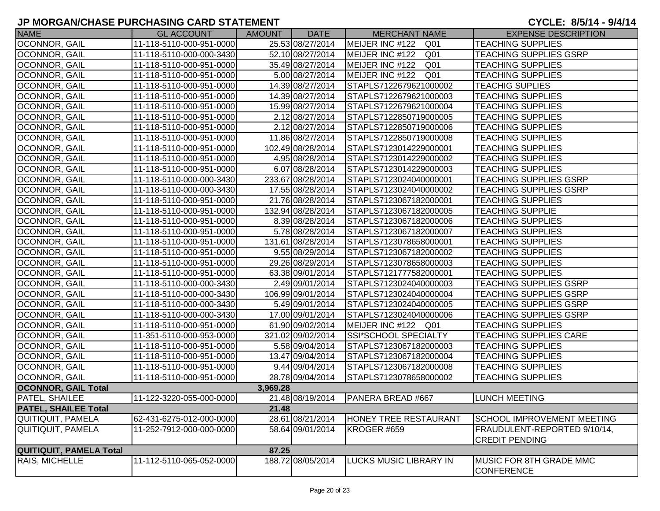| <b>NAME</b>                 | <b>GL ACCOUNT</b>        | AMOUNT   | <b>DATE</b>       | <b>MERCHANT NAME</b>         | <b>EXPENSE DESCRIPTION</b>    |
|-----------------------------|--------------------------|----------|-------------------|------------------------------|-------------------------------|
| <b>OCONNOR, GAIL</b>        | 11-118-5110-000-951-0000 |          | 25.53 08/27/2014  | MEIJER INC #122 Q01          | <b>TEACHING SUPPLIES</b>      |
| OCONNOR, GAIL               | 11-118-5110-000-000-3430 |          | 52.10 08/27/2014  | MEIJER INC #122 Q01          | <b>TEACHING SUPPLIES GSRP</b> |
| OCONNOR, GAIL               | 11-118-5110-000-951-0000 |          | 35.49 08/27/2014  | MEIJER INC #122 Q01          | <b>TEACHING SUPPLIES</b>      |
| <b>OCONNOR, GAIL</b>        | 11-118-5110-000-951-0000 |          | 5.00 08/27/2014   | MEIJER INC #122 Q01          | <b>TEACHING SUPPLIES</b>      |
| <b>OCONNOR, GAIL</b>        | 11-118-5110-000-951-0000 |          | 14.39 08/27/2014  | STAPLS7122679621000002       | <b>TEACHIG SUPLIES</b>        |
| OCONNOR, GAIL               | 11-118-5110-000-951-0000 |          | 14.39 08/27/2014  | STAPLS7122679621000003       | <b>TEACHING SUPPLIES</b>      |
| OCONNOR, GAIL               | 11-118-5110-000-951-0000 |          | 15.99 08/27/2014  | STAPLS7122679621000004       | <b>TEACHING SUPPLIES</b>      |
| OCONNOR, GAIL               | 11-118-5110-000-951-0000 |          | 2.12 08/27/2014   | STAPLS7122850719000005       | <b>TEACHING SUPPLIES</b>      |
| OCONNOR, GAIL               | 11-118-5110-000-951-0000 |          | 2.12 08/27/2014   | STAPLS7122850719000006       | <b>TEACHING SUPPLIES</b>      |
| OCONNOR, GAIL               | 11-118-5110-000-951-0000 |          | 11.86 08/27/2014  | STAPLS7122850719000008       | <b>TEACHING SUPPLIES</b>      |
| OCONNOR, GAIL               | 11-118-5110-000-951-0000 |          | 102.49 08/28/2014 | STAPLS7123014229000001       | <b>TEACHING SUPPLIES</b>      |
| <b>OCONNOR, GAIL</b>        | 11-118-5110-000-951-0000 |          | 4.95 08/28/2014   | STAPLS7123014229000002       | <b>TEACHING SUPPLIES</b>      |
| <b>OCONNOR, GAIL</b>        | 11-118-5110-000-951-0000 |          | 6.07 08/28/2014   | STAPLS7123014229000003       | <b>TEACHING SUPPLIES</b>      |
| OCONNOR, GAIL               | 11-118-5110-000-000-3430 |          | 233.67 08/28/2014 | STAPLS7123024040000001       | <b>TEACHING SUPPLIES GSRP</b> |
| OCONNOR, GAIL               | 11-118-5110-000-000-3430 |          | 17.55 08/28/2014  | STAPLS7123024040000002       | <b>TEACHING SUPPLIES GSRP</b> |
| OCONNOR, GAIL               | 11-118-5110-000-951-0000 |          | 21.76 08/28/2014  | STAPLS7123067182000001       | <b>TEACHING SUPPLIES</b>      |
| <b>OCONNOR, GAIL</b>        | 11-118-5110-000-951-0000 |          | 132.94 08/28/2014 | STAPLS7123067182000005       | <b>TEACHING SUPPLIE</b>       |
| OCONNOR, GAIL               | 11-118-5110-000-951-0000 |          | 8.39 08/28/2014   | STAPLS7123067182000006       | <b>TEACHING SUPPLIES</b>      |
| OCONNOR, GAIL               | 11-118-5110-000-951-0000 |          | 5.78 08/28/2014   | STAPLS7123067182000007       | <b>TEACHING SUPPLIES</b>      |
| <b>OCONNOR, GAIL</b>        | 11-118-5110-000-951-0000 |          | 131.61 08/28/2014 | STAPLS7123078658000001       | <b>TEACHING SUPPLIES</b>      |
| <b>OCONNOR, GAIL</b>        | 11-118-5110-000-951-0000 |          | 9.55 08/29/2014   | STAPLS7123067182000002       | <b>TEACHING SUPPLIES</b>      |
| OCONNOR, GAIL               | 11-118-5110-000-951-0000 |          | 29.26 08/29/2014  | STAPLS7123078658000003       | <b>TEACHING SUPPLIES</b>      |
| <b>OCONNOR, GAIL</b>        | 11-118-5110-000-951-0000 |          | 63.38 09/01/2014  | STAPLS7121777582000001       | <b>TEACHING SUPPLIES</b>      |
| OCONNOR, GAIL               | 11-118-5110-000-000-3430 |          | 2.49 09/01/2014   | STAPLS7123024040000003       | <b>TEACHING SUPPLIES GSRP</b> |
| OCONNOR, GAIL               | 11-118-5110-000-000-3430 |          | 106.99 09/01/2014 | STAPLS7123024040000004       | <b>TEACHING SUPPLIES GSRP</b> |
| OCONNOR, GAIL               | 11-118-5110-000-000-3430 |          | 5.49 09/01/2014   | STAPLS7123024040000005       | <b>TEACHING SUPPLIES GSRP</b> |
| OCONNOR, GAIL               | 11-118-5110-000-000-3430 |          | 17.00 09/01/2014  | STAPLS7123024040000006       | <b>TEACHING SUPPLIES GSRP</b> |
| OCONNOR, GAIL               | 11-118-5110-000-951-0000 |          | 61.90 09/02/2014  | MEIJER INC #122 Q01          | <b>TEACHING SUPPLIES</b>      |
| OCONNOR, GAIL               | 11-351-5110-000-953-0000 |          | 321.02 09/02/2014 | SSI*SCHOOL SPECIALTY         | <b>TEACHING SUPPLIES CARE</b> |
| OCONNOR, GAIL               | 11-118-5110-000-951-0000 |          | 5.58 09/04/2014   | STAPLS7123067182000003       | <b>TEACHING SUPPLIES</b>      |
| OCONNOR, GAIL               | 11-118-5110-000-951-0000 |          | 13.47 09/04/2014  | STAPLS7123067182000004       | <b>TEACHING SUPPLIES</b>      |
| <b>OCONNOR, GAIL</b>        | 11-118-5110-000-951-0000 |          | 9.44 09/04/2014   | STAPLS7123067182000008       | <b>TEACHING SUPPLIES</b>      |
| OCONNOR, GAIL               | 11-118-5110-000-951-0000 |          | 28.78 09/04/2014  | STAPLS7123078658000002       | <b>TEACHING SUPPLIES</b>      |
| <b>OCONNOR, GAIL Total</b>  |                          | 3,969.28 |                   |                              |                               |
| <b>PATEL, SHAILEE</b>       | 11-122-3220-055-000-0000 |          |                   |                              | <b>LUNCH MEETING</b>          |
| <b>PATEL, SHAILEE Total</b> |                          | 21.48    |                   |                              |                               |
| QUITIQUIT, PAMELA           | 62-431-6275-012-000-0000 |          | 28.61 08/21/2014  | <b>HONEY TREE RESTAURANT</b> | SCHOOL IMPROVEMENT MEETING    |
| <b>QUITIQUIT, PAMELA</b>    | 11-252-7912-000-000-0000 |          | 58.64 09/01/2014  | KROGER #659                  | FRAUDULENT-REPORTED 9/10/14,  |
|                             |                          |          |                   |                              | <b>CREDIT PENDING</b>         |
| QUITIQUIT, PAMELA Total     |                          | 87.25    |                   |                              |                               |
| RAIS, MICHELLE              | 11-112-5110-065-052-0000 |          | 188.72 08/05/2014 | LUCKS MUSIC LIBRARY IN       | MUSIC FOR 8TH GRADE MMC       |
|                             |                          |          |                   |                              | <b>CONFERENCE</b>             |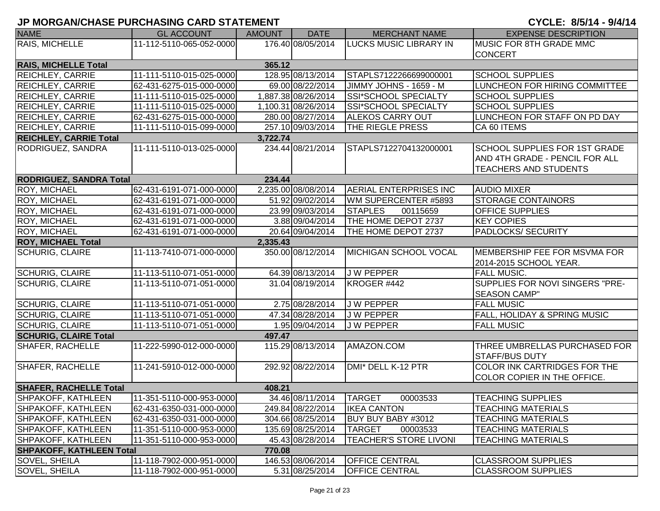| <b>NAME</b>                     | <b>GL ACCOUNT</b>        | <b>AMOUNT</b> | <b>DATE</b>         | <b>MERCHANT NAME</b>          | <b>EXPENSE DESCRIPTION</b>              |
|---------------------------------|--------------------------|---------------|---------------------|-------------------------------|-----------------------------------------|
| RAIS, MICHELLE                  | 11-112-5110-065-052-0000 |               | 176.40 08/05/2014   | <b>LUCKS MUSIC LIBRARY IN</b> | MUSIC FOR 8TH GRADE MMC                 |
|                                 |                          |               |                     |                               | <b>CONCERT</b>                          |
| <b>RAIS, MICHELLE Total</b>     |                          | 365.12        |                     |                               |                                         |
| <b>REICHLEY, CARRIE</b>         | 11-111-5110-015-025-0000 |               | 128.95 08/13/2014   | STAPLS7122266699000001        | <b>SCHOOL SUPPLIES</b>                  |
| <b>REICHLEY, CARRIE</b>         | 62-431-6275-015-000-0000 |               | 69.00 08/22/2014    | JIMMY JOHNS - 1659 - M        | LUNCHEON FOR HIRING COMMITTEE           |
| <b>REICHLEY, CARRIE</b>         | 11-111-5110-015-025-0000 |               | 1,887.38 08/26/2014 | SSI*SCHOOL SPECIALTY          | <b>SCHOOL SUPPLIES</b>                  |
| <b>REICHLEY, CARRIE</b>         | 11-111-5110-015-025-0000 |               | 1,100.31 08/26/2014 | SSI*SCHOOL SPECIALTY          | <b>SCHOOL SUPPLIES</b>                  |
| <b>REICHLEY, CARRIE</b>         | 62-431-6275-015-000-0000 |               | 280.00 08/27/2014   | <b>ALEKOS CARRY OUT</b>       | LUNCHEON FOR STAFF ON PD DAY            |
| REICHLEY, CARRIE                | 11-111-5110-015-099-0000 |               | 257.10 09/03/2014   | THE RIEGLE PRESS              | CA 60 ITEMS                             |
| <b>REICHLEY, CARRIE Total</b>   |                          | 3,722.74      |                     |                               |                                         |
| RODRIGUEZ, SANDRA               | 11-111-5110-013-025-0000 |               | 234.44 08/21/2014   | STAPLS7122704132000001        | <b>SCHOOL SUPPLIES FOR 1ST GRADE</b>    |
|                                 |                          |               |                     |                               | AND 4TH GRADE - PENCIL FOR ALL          |
|                                 |                          |               |                     |                               | <b>TEACHERS AND STUDENTS</b>            |
| <b>RODRIGUEZ, SANDRA Total</b>  |                          | 234.44        |                     |                               |                                         |
| <b>ROY, MICHAEL</b>             | 62-431-6191-071-000-0000 |               | 2,235.00 08/08/2014 | <b>AERIAL ENTERPRISES INC</b> | <b>AUDIO MIXER</b>                      |
| ROY, MICHAEL                    | 62-431-6191-071-000-0000 |               | 51.92 09/02/2014    | WM SUPERCENTER #5893          | <b>STORAGE CONTAINORS</b>               |
| ROY, MICHAEL                    | 62-431-6191-071-000-0000 |               | 23.99 09/03/2014    | <b>STAPLES</b><br>00115659    | <b>OFFICE SUPPLIES</b>                  |
| <b>ROY, MICHAEL</b>             | 62-431-6191-071-000-0000 |               | 3.88 09/04/2014     | THE HOME DEPOT 2737           | <b>KEY COPIES</b>                       |
| <b>ROY, MICHAEL</b>             | 62-431-6191-071-000-0000 |               | 20.64 09/04/2014    | THE HOME DEPOT 2737           | <b>PADLOCKS/ SECURITY</b>               |
| <b>ROY, MICHAEL Total</b>       |                          | 2,335.43      |                     |                               |                                         |
| <b>SCHURIG, CLAIRE</b>          | 11-113-7410-071-000-0000 |               | 350.00 08/12/2014   | MICHIGAN SCHOOL VOCAL         | MEMBERSHIP FEE FOR MSVMA FOR            |
|                                 |                          |               |                     |                               | 2014-2015 SCHOOL YEAR.                  |
| <b>SCHURIG, CLAIRE</b>          | 11-113-5110-071-051-0000 |               | 64.39 08/13/2014    | J W PEPPER                    | <b>FALL MUSIC.</b>                      |
| <b>SCHURIG, CLAIRE</b>          | 11-113-5110-071-051-0000 |               | 31.04 08/19/2014    | KROGER #442                   | SUPPLIES FOR NOVI SINGERS "PRE-         |
|                                 |                          |               |                     |                               | <b>SEASON CAMP"</b>                     |
| <b>SCHURIG, CLAIRE</b>          | 11-113-5110-071-051-0000 |               | 2.75 08/28/2014     | <b>JW PEPPER</b>              | <b>FALL MUSIC</b>                       |
| <b>SCHURIG, CLAIRE</b>          | 11-113-5110-071-051-0000 |               | 47.34 08/28/2014    | J W PEPPER                    | <b>FALL, HOLIDAY &amp; SPRING MUSIC</b> |
| <b>SCHURIG, CLAIRE</b>          | 11-113-5110-071-051-0000 |               | 1.95 09/04/2014     | J W PEPPER                    | <b>FALL MUSIC</b>                       |
| <b>SCHURIG, CLAIRE Total</b>    |                          | 497.47        |                     |                               |                                         |
| <b>SHAFER, RACHELLE</b>         | 11-222-5990-012-000-0000 |               | 115.29 08/13/2014   | AMAZON.COM                    | THREE UMBRELLAS PURCHASED FOR           |
|                                 |                          |               |                     |                               | <b>STAFF/BUS DUTY</b>                   |
| <b>SHAFER, RACHELLE</b>         | 11-241-5910-012-000-0000 |               | 292.92 08/22/2014   | DMI* DELL K-12 PTR            | COLOR INK CARTRIDGES FOR THE            |
|                                 |                          |               |                     |                               | COLOR COPIER IN THE OFFICE.             |
| <b>SHAFER, RACHELLE Total</b>   |                          | 408.21        |                     |                               |                                         |
| <b>SHPAKOFF, KATHLEEN</b>       | 11-351-5110-000-953-0000 |               | 34.46 08/11/2014    | <b>TARGET</b><br>00003533     | <b>TEACHING SUPPLIES</b>                |
| <b>SHPAKOFF, KATHLEEN</b>       | 62-431-6350-031-000-0000 |               | 249.84 08/22/2014   | <b>IKEA CANTON</b>            | <b>TEACHING MATERIALS</b>               |
| <b>SHPAKOFF, KATHLEEN</b>       | 62-431-6350-031-000-0000 |               | 304.66 08/25/2014   | BUY BUY BABY #3012            | <b>TEACHING MATERIALS</b>               |
| <b>SHPAKOFF, KATHLEEN</b>       | 11-351-5110-000-953-0000 |               | 135.69 08/25/2014   | <b>TARGET</b><br>00003533     | <b>TEACHING MATERIALS</b>               |
| <b>SHPAKOFF, KATHLEEN</b>       | 11-351-5110-000-953-0000 |               | 45.43 08/28/2014    | <b>TEACHER'S STORE LIVONI</b> | <b>TEACHING MATERIALS</b>               |
| <b>SHPAKOFF, KATHLEEN Total</b> |                          | 770.08        |                     |                               |                                         |
| SOVEL, SHEILA                   | 11-118-7902-000-951-0000 |               | 146.53 08/06/2014   | <b>OFFICE CENTRAL</b>         | <b>CLASSROOM SUPPLIES</b>               |
| <b>SOVEL, SHEILA</b>            | 11-118-7902-000-951-0000 |               | 5.31 08/25/2014     | <b>OFFICE CENTRAL</b>         | <b>CLASSROOM SUPPLIES</b>               |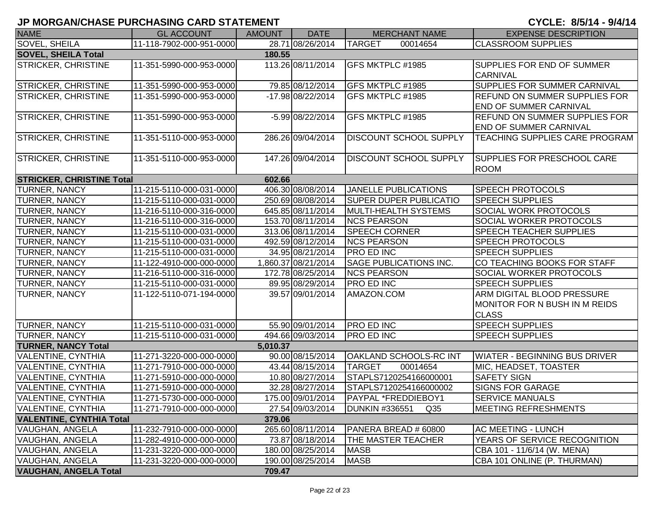| <b>NAME</b>                      | <b>GL ACCOUNT</b>        | AMOUNT   | <b>DATE</b>         | <b>MERCHANT NAME</b>                     | <b>EXPENSE DESCRIPTION</b>            |
|----------------------------------|--------------------------|----------|---------------------|------------------------------------------|---------------------------------------|
| <b>SOVEL, SHEILA</b>             | 11-118-7902-000-951-0000 |          | 28.71 08/26/2014    | <b>TARGET</b><br>00014654                | <b>CLASSROOM SUPPLIES</b>             |
| <b>SOVEL, SHEILA Total</b>       |                          | 180.55   |                     |                                          |                                       |
| STRICKER, CHRISTINE              | 11-351-5990-000-953-0000 |          | 113.26 08/11/2014   | GFS MKTPLC #1985                         | <b>SUPPLIES FOR END OF SUMMER</b>     |
|                                  |                          |          |                     |                                          | <b>CARNIVAL</b>                       |
| STRICKER, CHRISTINE              | 11-351-5990-000-953-0000 |          | 79.85 08/12/2014    | GFS MKTPLC #1985                         | SUPPLIES FOR SUMMER CARNIVAL          |
| STRICKER, CHRISTINE              | 11-351-5990-000-953-0000 |          | -17.98 08/22/2014   | GFS MKTPLC #1985                         | <b>REFUND ON SUMMER SUPPLIES FOR</b>  |
|                                  |                          |          |                     |                                          | <b>END OF SUMMER CARNIVAL</b>         |
| <b>STRICKER, CHRISTINE</b>       | 11-351-5990-000-953-0000 |          | -5.99 08/22/2014    | GFS MKTPLC #1985                         | <b>REFUND ON SUMMER SUPPLIES FOR</b>  |
|                                  |                          |          |                     |                                          | <b>END OF SUMMER CARNIVAL</b>         |
| <b>STRICKER, CHRISTINE</b>       | 11-351-5110-000-953-0000 |          | 286.26 09/04/2014   | <b>DISCOUNT SCHOOL SUPPLY</b>            | <b>TEACHING SUPPLIES CARE PROGRAM</b> |
|                                  |                          |          |                     |                                          |                                       |
| <b>STRICKER, CHRISTINE</b>       | 11-351-5110-000-953-0000 |          | 147.26 09/04/2014   | <b>DISCOUNT SCHOOL SUPPLY</b>            | SUPPLIES FOR PRESCHOOL CARE           |
|                                  |                          |          |                     |                                          | <b>ROOM</b>                           |
| <b>STRICKER, CHRISTINE Total</b> |                          | 602.66   |                     |                                          |                                       |
| TURNER, NANCY                    | 11-215-5110-000-031-0000 |          | 406.30 08/08/2014   | <b>JANELLE PUBLICATIONS</b>              | <b>SPEECH PROTOCOLS</b>               |
| TURNER, NANCY                    | 11-215-5110-000-031-0000 |          | 250.69 08/08/2014   | <b>SUPER DUPER PUBLICATIO</b>            | <b>SPEECH SUPPLIES</b>                |
| TURNER, NANCY                    | 11-216-5110-000-316-0000 |          | 645.85 08/11/2014   | <b>MULTI-HEALTH SYSTEMS</b>              | SOCIAL WORK PROTOCOLS                 |
| TURNER, NANCY                    | 11-216-5110-000-316-0000 |          | 153.70 08/11/2014   | <b>NCS PEARSON</b>                       | <b>SOCIAL WORKER PROTOCOLS</b>        |
| TURNER, NANCY                    | 11-215-5110-000-031-0000 |          | 313.06 08/11/2014   | <b>SPEECH CORNER</b>                     | <b>SPEECH TEACHER SUPPLIES</b>        |
| TURNER, NANCY                    | 11-215-5110-000-031-0000 |          | 492.59 08/12/2014   | <b>NCS PEARSON</b>                       | <b>SPEECH PROTOCOLS</b>               |
| TURNER, NANCY                    | 11-215-5110-000-031-0000 |          | 34.95 08/21/2014    | <b>PRO ED INC</b>                        | <b>SPEECH SUPPLIES</b>                |
| TURNER, NANCY                    | 11-122-4910-000-000-0000 |          | 1,860.37 08/21/2014 | <b>SAGE PUBLICATIONS INC.</b>            | CO TEACHING BOOKS FOR STAFF           |
| TURNER, NANCY                    | 11-216-5110-000-316-0000 |          | 172.78 08/25/2014   | <b>NCS PEARSON</b>                       | <b>SOCIAL WORKER PROTOCOLS</b>        |
| TURNER, NANCY                    | 11-215-5110-000-031-0000 |          | 89.95 08/29/2014    | <b>PRO ED INC</b>                        | <b>SPEECH SUPPLIES</b>                |
| TURNER, NANCY                    | 11-122-5110-071-194-0000 |          | 39.57 09/01/2014    | AMAZON.COM                               | ARM DIGITAL BLOOD PRESSURE            |
|                                  |                          |          |                     |                                          | MONITOR FOR N BUSH IN M REIDS         |
|                                  |                          |          |                     |                                          | <b>CLASS</b>                          |
| TURNER, NANCY                    | 11-215-5110-000-031-0000 |          | 55.90 09/01/2014    | <b>PRO ED INC</b>                        | <b>SPEECH SUPPLIES</b>                |
| TURNER, NANCY                    | 11-215-5110-000-031-0000 |          | 494.66 09/03/2014   | <b>PRO ED INC</b>                        | <b>SPEECH SUPPLIES</b>                |
| <b>TURNER, NANCY Total</b>       |                          | 5,010.37 |                     |                                          |                                       |
| VALENTINE, CYNTHIA               | 11-271-3220-000-000-0000 |          | 90.00 08/15/2014    | <b>OAKLAND SCHOOLS-RC INT</b>            | <b>WIATER - BEGINNING BUS DRIVER</b>  |
| VALENTINE, CYNTHIA               | 11-271-7910-000-000-0000 |          | 43.44 08/15/2014    | <b>TARGET</b><br>00014654                | MIC, HEADSET, TOASTER                 |
| VALENTINE, CYNTHIA               | 11-271-5910-000-000-0000 |          | 10.80 08/27/2014    | STAPLS7120254166000001                   | <b>SAFETY SIGN</b>                    |
| <b>VALENTINE, CYNTHIA</b>        | 11-271-5910-000-000-0000 |          | 32.28 08/27/2014    | STAPLS7120254166000002                   | <b>SIGNS FOR GARAGE</b>               |
| VALENTINE, CYNTHIA               | 11-271-5730-000-000-0000 |          |                     |                                          | <b>SERVICE MANUALS</b>                |
| <b>VALENTINE, CYNTHIA</b>        | 11-271-7910-000-000-0000 |          | 27.54 09/03/2014    | <b>DUNKIN #336551</b><br>Q <sub>35</sub> | <b>MEETING REFRESHMENTS</b>           |
| <b>VALENTINE, CYNTHIA Total</b>  |                          | 379.06   |                     |                                          |                                       |
| VAUGHAN, ANGELA                  | 11-232-7910-000-000-0000 |          | 265.60 08/11/2014   | PANERA BREAD # 60800                     | <b>AC MEETING - LUNCH</b>             |
| <b>VAUGHAN, ANGELA</b>           | 11-282-4910-000-000-0000 |          | 73.87 08/18/2014    | THE MASTER TEACHER                       | YEARS OF SERVICE RECOGNITION          |
| VAUGHAN, ANGELA                  | 11-231-3220-000-000-0000 |          | 180.00 08/25/2014   | <b>MASB</b>                              | CBA 101 - 11/6/14 (W. MENA)           |
| <b>VAUGHAN, ANGELA</b>           | 11-231-3220-000-000-0000 |          | 190.00 08/25/2014   | <b>MASB</b>                              | CBA 101 ONLINE (P. THURMAN)           |
| <b>VAUGHAN, ANGELA Total</b>     |                          | 709.47   |                     |                                          |                                       |